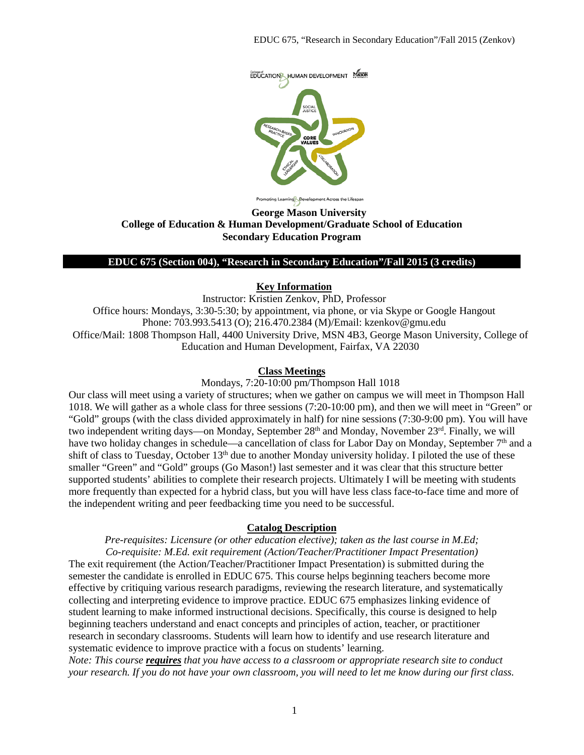

ing Learning Development Across the Lifespan

### **George Mason University College of Education & Human Development/Graduate School of Education Secondary Education Program**

### **EDUC 675 (Section 004), "Research in Secondary Education"/Fall 2015 (3 credits)**

### **Key Information**

Instructor: Kristien Zenkov, PhD, Professor Office hours: Mondays, 3:30-5:30; by appointment, via phone, or via Skype or Google Hangout Phone: 703.993.5413 (O); 216.470.2384 (M)/Email: kzenkov@gmu.edu Office/Mail: 1808 Thompson Hall, 4400 University Drive, MSN 4B3, George Mason University, College of Education and Human Development, Fairfax, VA 22030

### **Class Meetings**

Mondays, 7:20-10:00 pm/Thompson Hall 1018

Our class will meet using a variety of structures; when we gather on campus we will meet in Thompson Hall 1018. We will gather as a whole class for three sessions (7:20-10:00 pm), and then we will meet in "Green" or "Gold" groups (with the class divided approximately in half) for nine sessions (7:30-9:00 pm). You will have two independent writing days—on Monday, September 28<sup>th</sup> and Monday, November 23<sup>rd</sup>. Finally, we will have two holiday changes in schedule—a cancellation of class for Labor Day on Monday, September 7<sup>th</sup> and a shift of class to Tuesday, October 13<sup>th</sup> due to another Monday university holiday. I piloted the use of these smaller "Green" and "Gold" groups (Go Mason!) last semester and it was clear that this structure better supported students' abilities to complete their research projects. Ultimately I will be meeting with students more frequently than expected for a hybrid class, but you will have less class face-to-face time and more of the independent writing and peer feedbacking time you need to be successful.

#### **Catalog Description**

*Pre-requisites: Licensure (or other education elective); taken as the last course in M.Ed; Co-requisite: M.Ed. exit requirement (Action/Teacher/Practitioner Impact Presentation)* The exit requirement (the Action/Teacher/Practitioner Impact Presentation) is submitted during the semester the candidate is enrolled in EDUC 675. This course helps beginning teachers become more effective by critiquing various research paradigms, reviewing the research literature, and systematically collecting and interpreting evidence to improve practice. EDUC 675 emphasizes linking evidence of student learning to make informed instructional decisions. Specifically, this course is designed to help beginning teachers understand and enact concepts and principles of action, teacher, or practitioner research in secondary classrooms. Students will learn how to identify and use research literature and systematic evidence to improve practice with a focus on students' learning.

*Note: This course requires that you have access to a classroom or appropriate research site to conduct your research. If you do not have your own classroom, you will need to let me know during our first class.*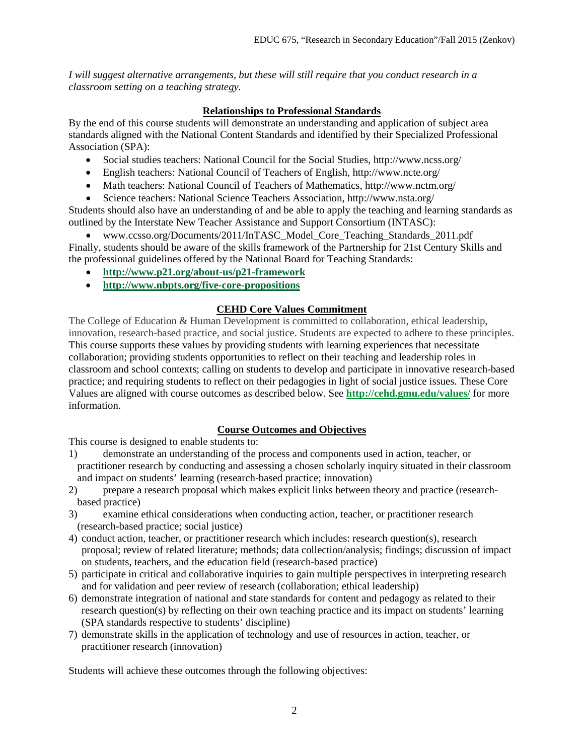*I will suggest alternative arrangements, but these will still require that you conduct research in a classroom setting on a teaching strategy.*

# **Relationships to Professional Standards**

By the end of this course students will demonstrate an understanding and application of subject area standards aligned with the National Content Standards and identified by their Specialized Professional Association (SPA):

- Social studies teachers: National Council for the Social Studies, http://www.ncss.org/
- English teachers: National Council of Teachers of English, http://www.ncte.org/
- Math teachers: National Council of Teachers of Mathematics, http://www.nctm.org/
- Science teachers: National Science Teachers Association, http://www.nsta.org/

Students should also have an understanding of and be able to apply the teaching and learning standards as outlined by the Interstate New Teacher Assistance and Support Consortium (INTASC):

• www.ccsso.org/Documents/2011/InTASC\_Model\_Core\_Teaching\_Standards\_2011.pdf Finally, students should be aware of the skills framework of the Partnership for 21st Century Skills and the professional guidelines offered by the National Board for Teaching Standards:

- **<http://www.p21.org/about-us/p21-framework>**
- **<http://www.nbpts.org/five-core-propositions>**

## **CEHD Core Values Commitment**

The College of Education & Human Development is committed to collaboration, ethical leadership, innovation, research-based practice, and social justice. Students are expected to adhere to these principles. This course supports these values by providing students with learning experiences that necessitate collaboration; providing students opportunities to reflect on their teaching and leadership roles in classroom and school contexts; calling on students to develop and participate in innovative research-based practice; and requiring students to reflect on their pedagogies in light of social justice issues. These Core Values are aligned with course outcomes as described below. See **<http://cehd.gmu.edu/values/>** for more information.

# **Course Outcomes and Objectives**

This course is designed to enable students to:

- 1) demonstrate an understanding of the process and components used in action, teacher, or practitioner research by conducting and assessing a chosen scholarly inquiry situated in their classroom and impact on students' learning (research-based practice; innovation)
- 2) prepare a research proposal which makes explicit links between theory and practice (researchbased practice)
- 3) examine ethical considerations when conducting action, teacher, or practitioner research (research-based practice; social justice)
- 4) conduct action, teacher, or practitioner research which includes: research question(s), research proposal; review of related literature; methods; data collection/analysis; findings; discussion of impact on students, teachers, and the education field (research-based practice)
- 5) participate in critical and collaborative inquiries to gain multiple perspectives in interpreting research and for validation and peer review of research (collaboration; ethical leadership)
- 6) demonstrate integration of national and state standards for content and pedagogy as related to their research question(s) by reflecting on their own teaching practice and its impact on students' learning (SPA standards respective to students' discipline)
- 7) demonstrate skills in the application of technology and use of resources in action, teacher, or practitioner research (innovation)

Students will achieve these outcomes through the following objectives: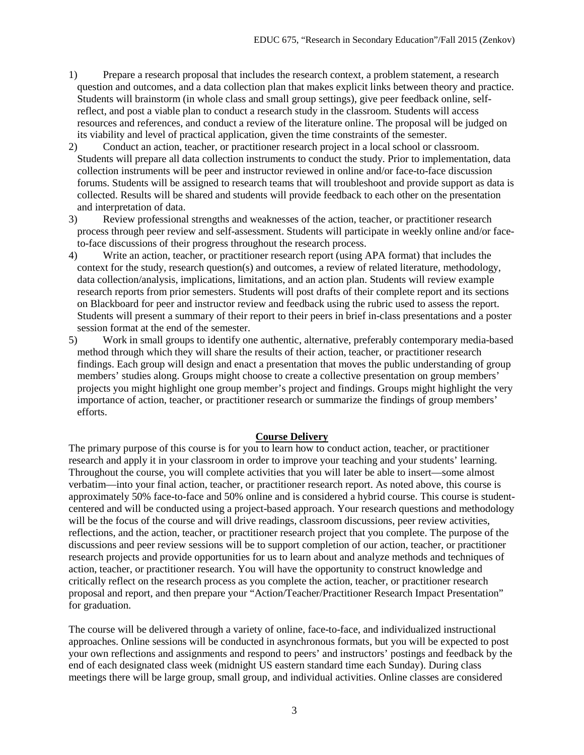- 1) Prepare a research proposal that includes the research context, a problem statement, a research question and outcomes, and a data collection plan that makes explicit links between theory and practice. Students will brainstorm (in whole class and small group settings), give peer feedback online, selfreflect, and post a viable plan to conduct a research study in the classroom. Students will access resources and references, and conduct a review of the literature online. The proposal will be judged on its viability and level of practical application, given the time constraints of the semester.
- 2) Conduct an action, teacher, or practitioner research project in a local school or classroom. Students will prepare all data collection instruments to conduct the study. Prior to implementation, data collection instruments will be peer and instructor reviewed in online and/or face-to-face discussion forums. Students will be assigned to research teams that will troubleshoot and provide support as data is collected. Results will be shared and students will provide feedback to each other on the presentation and interpretation of data.
- 3) Review professional strengths and weaknesses of the action, teacher, or practitioner research process through peer review and self-assessment. Students will participate in weekly online and/or faceto-face discussions of their progress throughout the research process.
- 4) Write an action, teacher, or practitioner research report (using APA format) that includes the context for the study, research question(s) and outcomes, a review of related literature, methodology, data collection/analysis, implications, limitations, and an action plan. Students will review example research reports from prior semesters. Students will post drafts of their complete report and its sections on Blackboard for peer and instructor review and feedback using the rubric used to assess the report. Students will present a summary of their report to their peers in brief in-class presentations and a poster session format at the end of the semester.
- 5) Work in small groups to identify one authentic, alternative, preferably contemporary media-based method through which they will share the results of their action, teacher, or practitioner research findings. Each group will design and enact a presentation that moves the public understanding of group members' studies along. Groups might choose to create a collective presentation on group members' projects you might highlight one group member's project and findings. Groups might highlight the very importance of action, teacher, or practitioner research or summarize the findings of group members' efforts.

#### **Course Delivery**

The primary purpose of this course is for you to learn how to conduct action, teacher, or practitioner research and apply it in your classroom in order to improve your teaching and your students' learning. Throughout the course, you will complete activities that you will later be able to insert—some almost verbatim—into your final action, teacher, or practitioner research report. As noted above, this course is approximately 50% face-to-face and 50% online and is considered a hybrid course. This course is studentcentered and will be conducted using a project-based approach. Your research questions and methodology will be the focus of the course and will drive readings, classroom discussions, peer review activities, reflections, and the action, teacher, or practitioner research project that you complete. The purpose of the discussions and peer review sessions will be to support completion of our action, teacher, or practitioner research projects and provide opportunities for us to learn about and analyze methods and techniques of action, teacher, or practitioner research. You will have the opportunity to construct knowledge and critically reflect on the research process as you complete the action, teacher, or practitioner research proposal and report, and then prepare your "Action/Teacher/Practitioner Research Impact Presentation" for graduation.

The course will be delivered through a variety of online, face-to-face, and individualized instructional approaches. Online sessions will be conducted in asynchronous formats, but you will be expected to post your own reflections and assignments and respond to peers' and instructors' postings and feedback by the end of each designated class week (midnight US eastern standard time each Sunday). During class meetings there will be large group, small group, and individual activities. Online classes are considered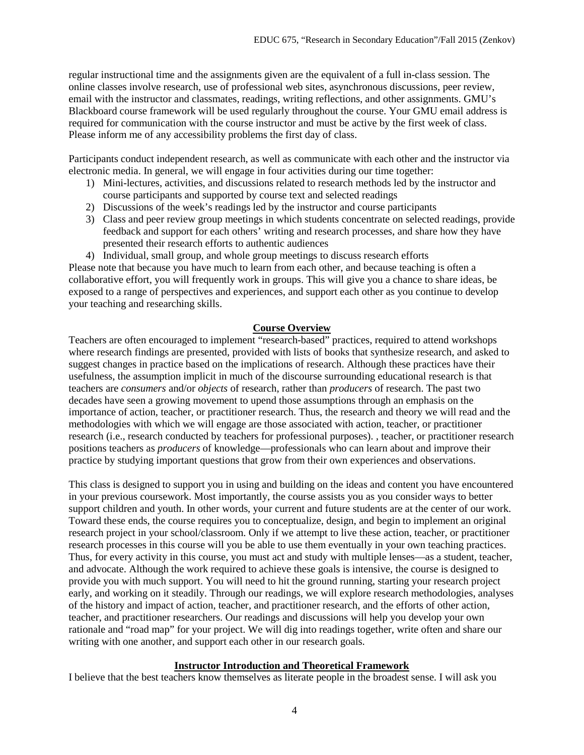regular instructional time and the assignments given are the equivalent of a full in-class session. The online classes involve research, use of professional web sites, asynchronous discussions, peer review, email with the instructor and classmates, readings, writing reflections, and other assignments. GMU's Blackboard course framework will be used regularly throughout the course. Your GMU email address is required for communication with the course instructor and must be active by the first week of class. Please inform me of any accessibility problems the first day of class.

Participants conduct independent research, as well as communicate with each other and the instructor via electronic media. In general, we will engage in four activities during our time together:

- 1) Mini-lectures, activities, and discussions related to research methods led by the instructor and course participants and supported by course text and selected readings
- 2) Discussions of the week's readings led by the instructor and course participants
- 3) Class and peer review group meetings in which students concentrate on selected readings, provide feedback and support for each others' writing and research processes, and share how they have presented their research efforts to authentic audiences
- 4) Individual, small group, and whole group meetings to discuss research efforts

Please note that because you have much to learn from each other, and because teaching is often a collaborative effort, you will frequently work in groups. This will give you a chance to share ideas, be exposed to a range of perspectives and experiences, and support each other as you continue to develop your teaching and researching skills.

## **Course Overview**

Teachers are often encouraged to implement "research-based" practices, required to attend workshops where research findings are presented, provided with lists of books that synthesize research, and asked to suggest changes in practice based on the implications of research. Although these practices have their usefulness, the assumption implicit in much of the discourse surrounding educational research is that teachers are *consumers* and/or *objects* of research, rather than *producers* of research. The past two decades have seen a growing movement to upend those assumptions through an emphasis on the importance of action, teacher, or practitioner research. Thus, the research and theory we will read and the methodologies with which we will engage are those associated with action, teacher, or practitioner research (i.e., research conducted by teachers for professional purposes). , teacher, or practitioner research positions teachers as *producers* of knowledge—professionals who can learn about and improve their practice by studying important questions that grow from their own experiences and observations.

This class is designed to support you in using and building on the ideas and content you have encountered in your previous coursework. Most importantly, the course assists you as you consider ways to better support children and youth. In other words, your current and future students are at the center of our work. Toward these ends, the course requires you to conceptualize, design, and begin to implement an original research project in your school/classroom. Only if we attempt to live these action, teacher, or practitioner research processes in this course will you be able to use them eventually in your own teaching practices. Thus, for every activity in this course, you must act and study with multiple lenses—as a student, teacher, and advocate. Although the work required to achieve these goals is intensive, the course is designed to provide you with much support. You will need to hit the ground running, starting your research project early, and working on it steadily. Through our readings, we will explore research methodologies, analyses of the history and impact of action, teacher, and practitioner research, and the efforts of other action, teacher, and practitioner researchers. Our readings and discussions will help you develop your own rationale and "road map" for your project. We will dig into readings together, write often and share our writing with one another, and support each other in our research goals.

### **Instructor Introduction and Theoretical Framework**

I believe that the best teachers know themselves as literate people in the broadest sense. I will ask you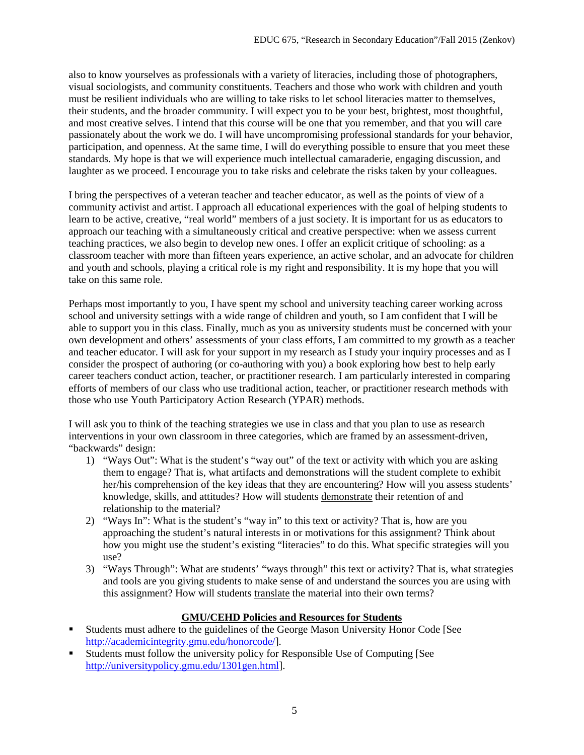also to know yourselves as professionals with a variety of literacies, including those of photographers, visual sociologists, and community constituents. Teachers and those who work with children and youth must be resilient individuals who are willing to take risks to let school literacies matter to themselves, their students, and the broader community. I will expect you to be your best, brightest, most thoughtful, and most creative selves. I intend that this course will be one that you remember, and that you will care passionately about the work we do. I will have uncompromising professional standards for your behavior, participation, and openness. At the same time, I will do everything possible to ensure that you meet these standards. My hope is that we will experience much intellectual camaraderie, engaging discussion, and laughter as we proceed. I encourage you to take risks and celebrate the risks taken by your colleagues.

I bring the perspectives of a veteran teacher and teacher educator, as well as the points of view of a community activist and artist. I approach all educational experiences with the goal of helping students to learn to be active, creative, "real world" members of a just society. It is important for us as educators to approach our teaching with a simultaneously critical and creative perspective: when we assess current teaching practices, we also begin to develop new ones. I offer an explicit critique of schooling: as a classroom teacher with more than fifteen years experience, an active scholar, and an advocate for children and youth and schools, playing a critical role is my right and responsibility. It is my hope that you will take on this same role.

Perhaps most importantly to you, I have spent my school and university teaching career working across school and university settings with a wide range of children and youth, so I am confident that I will be able to support you in this class. Finally, much as you as university students must be concerned with your own development and others' assessments of your class efforts, I am committed to my growth as a teacher and teacher educator. I will ask for your support in my research as I study your inquiry processes and as I consider the prospect of authoring (or co-authoring with you) a book exploring how best to help early career teachers conduct action, teacher, or practitioner research. I am particularly interested in comparing efforts of members of our class who use traditional action, teacher, or practitioner research methods with those who use Youth Participatory Action Research (YPAR) methods.

I will ask you to think of the teaching strategies we use in class and that you plan to use as research interventions in your own classroom in three categories, which are framed by an assessment-driven, "backwards" design:

- 1) "Ways Out": What is the student's "way out" of the text or activity with which you are asking them to engage? That is, what artifacts and demonstrations will the student complete to exhibit her/his comprehension of the key ideas that they are encountering? How will you assess students' knowledge, skills, and attitudes? How will students demonstrate their retention of and relationship to the material?
- 2) "Ways In": What is the student's "way in" to this text or activity? That is, how are you approaching the student's natural interests in or motivations for this assignment? Think about how you might use the student's existing "literacies" to do this. What specific strategies will you use?
- 3) "Ways Through": What are students' "ways through" this text or activity? That is, what strategies and tools are you giving students to make sense of and understand the sources you are using with this assignment? How will students translate the material into their own terms?

# **GMU/CEHD Policies and Resources for Students**

- Students must adhere to the guidelines of the George Mason University Honor Code [See [http://academicintegrity.gmu.edu/honorcode/\]](http://academicintegrity.gmu.edu/honorcode/).
- Students must follow the university policy for Responsible Use of Computing [See [http://universitypolicy.gmu.edu/1301gen.html\]](http://universitypolicy.gmu.edu/1301gen.html).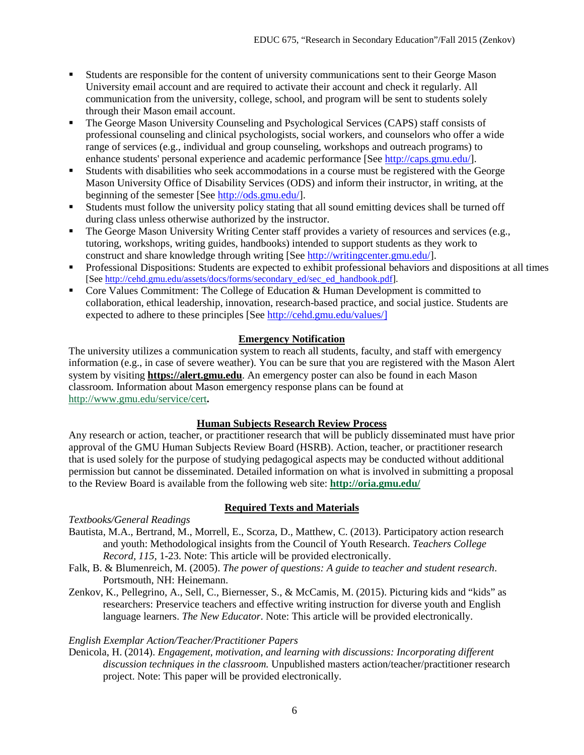- Students are responsible for the content of university communications sent to their George Mason University email account and are required to activate their account and check it regularly. All communication from the university, college, school, and program will be sent to students solely through their Mason email account.
- The George Mason University Counseling and Psychological Services (CAPS) staff consists of professional counseling and clinical psychologists, social workers, and counselors who offer a wide range of services (e.g., individual and group counseling, workshops and outreach programs) to enhance students' personal experience and academic performance [See [http://caps.gmu.edu/\]](http://caps.gmu.edu/).
- Students with disabilities who seek accommodations in a course must be registered with the George Mason University Office of Disability Services (ODS) and inform their instructor, in writing, at the beginning of the semester [See [http://ods.gmu.edu/\]](http://ods.gmu.edu/).
- Students must follow the university policy stating that all sound emitting devices shall be turned off during class unless otherwise authorized by the instructor.
- The George Mason University Writing Center staff provides a variety of resources and services (e.g., tutoring, workshops, writing guides, handbooks) intended to support students as they work to construct and share knowledge through writing [See [http://writingcenter.gmu.edu/\]](http://writingcenter.gmu.edu/).
- Professional Dispositions: Students are expected to exhibit professional behaviors and dispositions at all times [See [http://cehd.gmu.edu/assets/docs/forms/secondary\\_ed/sec\\_ed\\_handbook.pdf\]](http://cehd.gmu.edu/assets/docs/forms/secondary_ed/sec_ed_handbook.pdf).
- Core Values Commitment: The College of Education & Human Development is committed to collaboration, ethical leadership, innovation, research-based practice, and social justice. Students are expected to adhere to these principles [See [http://cehd.gmu.edu/values/\]](http://cehd.gmu.edu/values/)

# **Emergency Notification**

The university utilizes a communication system to reach all students, faculty, and staff with emergency information (e.g., in case of severe weather). You can be sure that you are registered with the Mason Alert system by visiting **[https://alert.gmu.edu](https://alert.gmu.edu/)**. An emergency poster can also be found in each Mason classroom. Information about Mason emergency response plans can be found at <http://www.gmu.edu/service/cert>**.**

### **Human Subjects Research Review Process**

Any research or action, teacher, or practitioner research that will be publicly disseminated must have prior approval of the GMU Human Subjects Review Board (HSRB). Action, teacher, or practitioner research that is used solely for the purpose of studying pedagogical aspects may be conducted without additional permission but cannot be disseminated. Detailed information on what is involved in submitting a proposal to the Review Board is available from the following web site: **<http://oria.gmu.edu/>**

# **Required Texts and Materials**

# *Textbooks/General Readings*

- Bautista, M.A., Bertrand, M., Morrell, E., Scorza, D., Matthew, C. (2013). Participatory action research and youth: Methodological insights from the Council of Youth Research. *Teachers College Record, 115,* 1-23. Note: This article will be provided electronically.
- Falk, B. & Blumenreich, M. (2005). *The power of questions: A guide to teacher and student research*. Portsmouth, NH: Heinemann.
- Zenkov, K., Pellegrino, A., Sell, C., Biernesser, S., & McCamis, M. (2015). Picturing kids and "kids" as researchers: Preservice teachers and effective writing instruction for diverse youth and English language learners. *The New Educator*. Note: This article will be provided electronically.

# *English Exemplar Action/Teacher/Practitioner Papers*

Denicola, H. (2014). *Engagement, motivation, and learning with discussions: Incorporating different discussion techniques in the classroom.* Unpublished masters action/teacher/practitioner research project. Note: This paper will be provided electronically.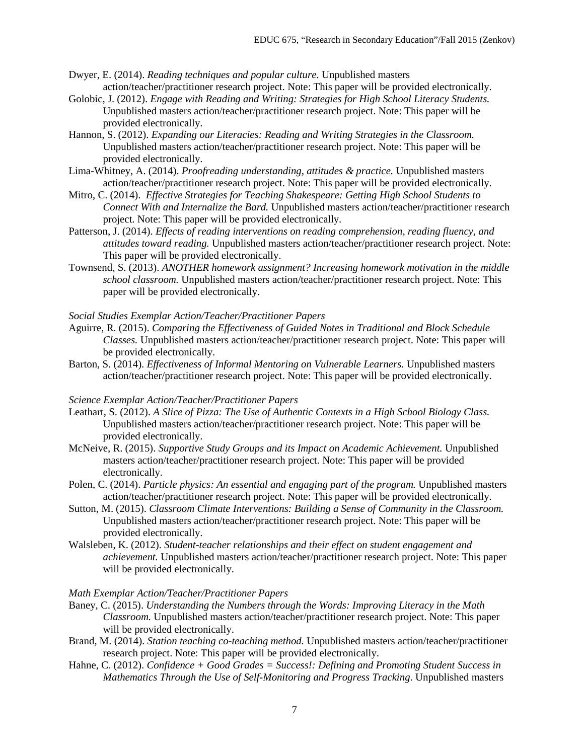- Dwyer, E. (2014). *Reading techniques and popular culture*. Unpublished masters action/teacher/practitioner research project. Note: This paper will be provided electronically.
- Golobic, J. (2012). *Engage with Reading and Writing: Strategies for High School Literacy Students.*  Unpublished masters action/teacher/practitioner research project. Note: This paper will be provided electronically.
- Hannon, S. (2012). *Expanding our Literacies: Reading and Writing Strategies in the Classroom.* Unpublished masters action/teacher/practitioner research project. Note: This paper will be provided electronically.
- Lima-Whitney, A. (2014). *Proofreading understanding, attitudes & practice.* Unpublished masters action/teacher/practitioner research project. Note: This paper will be provided electronically.
- Mitro, C. (2014). *Effective Strategies for Teaching Shakespeare: Getting High School Students to Connect With and Internalize the Bard.* Unpublished masters action/teacher/practitioner research project. Note: This paper will be provided electronically.
- Patterson, J. (2014). *Effects of reading interventions on reading comprehension, reading fluency, and attitudes toward reading.* Unpublished masters action/teacher/practitioner research project. Note: This paper will be provided electronically.
- Townsend, S. (2013). *ANOTHER homework assignment? Increasing homework motivation in the middle school classroom.* Unpublished masters action/teacher/practitioner research project. Note: This paper will be provided electronically.

### *Social Studies Exemplar Action/Teacher/Practitioner Papers*

- Aguirre, R. (2015). *Comparing the Effectiveness of Guided Notes in Traditional and Block Schedule Classes.* Unpublished masters action/teacher/practitioner research project. Note: This paper will be provided electronically.
- Barton, S. (2014). *Effectiveness of Informal Mentoring on Vulnerable Learners.* Unpublished masters action/teacher/practitioner research project. Note: This paper will be provided electronically.

#### *Science Exemplar Action/Teacher/Practitioner Papers*

- Leathart, S. (2012). *A Slice of Pizza: The Use of Authentic Contexts in a High School Biology Class.* Unpublished masters action/teacher/practitioner research project. Note: This paper will be provided electronically.
- McNeive, R. (2015). *Supportive Study Groups and its Impact on Academic Achievement.* Unpublished masters action/teacher/practitioner research project. Note: This paper will be provided electronically.
- Polen, C. (2014). *Particle physics: An essential and engaging part of the program.* Unpublished masters action/teacher/practitioner research project. Note: This paper will be provided electronically.
- Sutton, M. (2015). *Classroom Climate Interventions: Building a Sense of Community in the Classroom.* Unpublished masters action/teacher/practitioner research project. Note: This paper will be provided electronically.
- Walsleben, K. (2012). *Student-teacher relationships and their effect on student engagement and achievement.* Unpublished masters action/teacher/practitioner research project. Note: This paper will be provided electronically.

#### *Math Exemplar Action/Teacher/Practitioner Papers*

- Baney, C. (2015). *Understanding the Numbers through the Words: Improving Literacy in the Math Classroom.* Unpublished masters action/teacher/practitioner research project. Note: This paper will be provided electronically.
- Brand, M. (2014). *Station teaching co-teaching method.* Unpublished masters action/teacher/practitioner research project. Note: This paper will be provided electronically.
- Hahne, C. (2012). *Confidence + Good Grades = Success!: Defining and Promoting Student Success in Mathematics Through the Use of Self-Monitoring and Progress Tracking*. Unpublished masters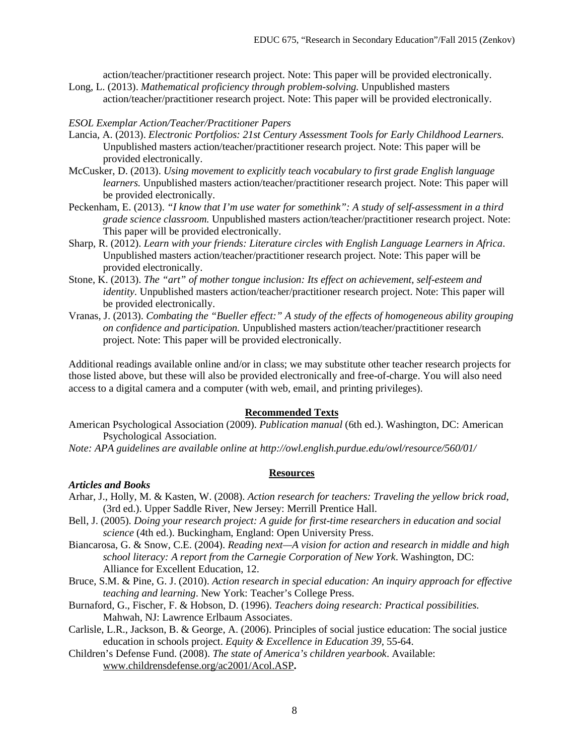action/teacher/practitioner research project. Note: This paper will be provided electronically. Long, L. (2013). *Mathematical proficiency through problem-solving.* Unpublished masters

action/teacher/practitioner research project. Note: This paper will be provided electronically.

### *ESOL Exemplar Action/Teacher/Practitioner Papers*

- Lancia, A. (2013). *Electronic Portfolios: 21st Century Assessment Tools for Early Childhood Learners.* Unpublished masters action/teacher/practitioner research project. Note: This paper will be provided electronically.
- McCusker, D. (2013). *Using movement to explicitly teach vocabulary to first grade English language learners.* Unpublished masters action/teacher/practitioner research project. Note: This paper will be provided electronically.
- Peckenham, E. (2013). *"I know that I'm use water for somethink": A study of self-assessment in a third grade science classroom.* Unpublished masters action/teacher/practitioner research project. Note: This paper will be provided electronically.
- Sharp, R. (2012). *Learn with your friends: Literature circles with English Language Learners in Africa*. Unpublished masters action/teacher/practitioner research project. Note: This paper will be provided electronically.
- Stone, K. (2013). *The "art" of mother tongue inclusion: Its effect on achievement, self-esteem and identity.* Unpublished masters action/teacher/practitioner research project. Note: This paper will be provided electronically.
- Vranas, J. (2013). *Combating the "Bueller effect:" A study of the effects of homogeneous ability grouping on confidence and participation.* Unpublished masters action/teacher/practitioner research project. Note: This paper will be provided electronically.

Additional readings available online and/or in class; we may substitute other teacher research projects for those listed above, but these will also be provided electronically and free-of-charge. You will also need access to a digital camera and a computer (with web, email, and printing privileges).

#### **Recommended Texts**

- American Psychological Association (2009). *Publication manual* (6th ed.). Washington, DC: American Psychological Association.
- *Note: APA guidelines are available online at http://owl.english.purdue.edu/owl/resource/560/01/*

#### **Resources**

#### *Articles and Books*

- Arhar, J., Holly, M. & Kasten, W. (2008). *Action research for teachers: Traveling the yellow brick road*, (3rd ed.). Upper Saddle River, New Jersey: Merrill Prentice Hall.
- Bell, J. (2005). *Doing your research project: A guide for first-time researchers in education and social science* (4th ed.). Buckingham, England: Open University Press.
- Biancarosa, G. & Snow, C.E. (2004). *Reading next—A vision for action and research in middle and high school literacy: A report from the Carnegie Corporation of New York*. Washington, DC: Alliance for Excellent Education, 12.
- Bruce, S.M. & Pine, G. J. (2010). *Action research in special education: An inquiry approach for effective teaching and learning*. New York: Teacher's College Press.
- Burnaford, G., Fischer, F. & Hobson, D. (1996). *Teachers doing research: Practical possibilities.* Mahwah, NJ: Lawrence Erlbaum Associates.
- Carlisle, L.R., Jackson, B. & George, A. (2006). Principles of social justice education: The social justice education in schools project. *Equity & Excellence in Education 39,* 55-64.
- Children's Defense Fund. (2008). *The state of America's children yearbook*. Available: [www.childrensdefense.org/ac2001/Acol.ASP](http://www.childrensdefense.org/ac2001/Acol.ASP)**.**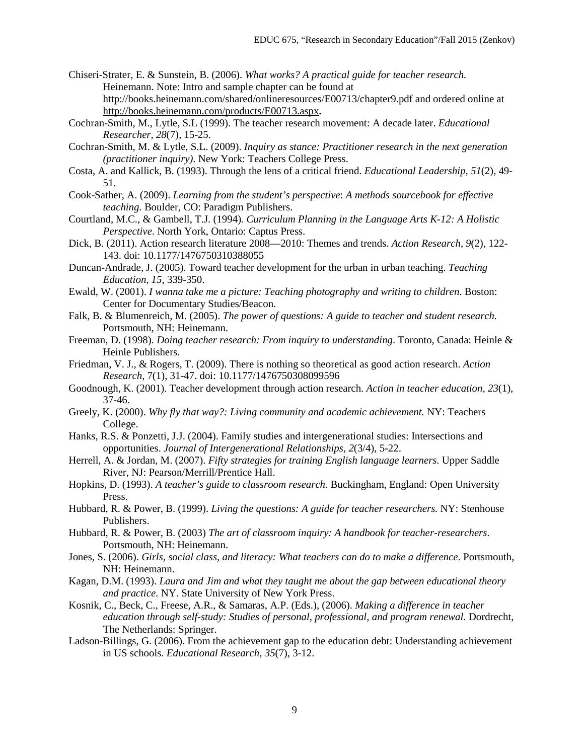- Chiseri-Strater, E. & Sunstein, B. (2006). *What works? A practical guide for teacher research.*  Heinemann. Note: Intro and sample chapter can be found at http://books.heinemann.com/shared/onlineresources/E00713/chapter9.pdf and ordered online at <http://books.heinemann.com/products/E00713.aspx>**.**
- Cochran-Smith, M., Lytle, S.L (1999). The teacher research movement: A decade later. *Educational Researcher, 28*(7), 15-25.
- Cochran-Smith, M. & Lytle, S.L. (2009). *Inquiry as stance: Practitioner research in the next generation (practitioner inquiry)*. New York: Teachers College Press.
- Costa, A. and Kallick, B. (1993). Through the lens of a critical friend. *Educational Leadership, 51*(2), 49- 51.
- Cook-Sather, A. (2009). *Learning from the student's perspective*: *A methods sourcebook for effective teaching.* Boulder, CO: Paradigm Publishers.
- Courtland, M.C., & Gambell, T.J. (1994)*. Curriculum Planning in the Language Arts K-12: A Holistic Perspective*. North York, Ontario: Captus Press.
- Dick, B. (2011). Action research literature 2008—2010: Themes and trends. *Action Research*, *9*(2), 122- 143. doi: 10.1177/1476750310388055
- Duncan-Andrade, J. (2005). Toward teacher development for the urban in urban teaching. *Teaching Education, 15*, 339-350.
- Ewald, W. (2001). *I wanna take me a picture: Teaching photography and writing to children*. Boston: Center for Documentary Studies/Beacon.
- Falk, B. & Blumenreich, M. (2005). *The power of questions: A guide to teacher and student research.*  Portsmouth, NH: Heinemann.
- Freeman, D. (1998). *Doing teacher research: From inquiry to understanding*. Toronto, Canada: Heinle & Heinle Publishers.
- Friedman, V. J., & Rogers, T. (2009). There is nothing so theoretical as good action research. *Action Research*, 7(1), 31-47. doi: 10.1177/1476750308099596
- Goodnough, K. (2001). Teacher development through action research. *Action in teacher education, 23*(1), 37-46.
- Greely, K. (2000). *Why fly that way?: Living community and academic achievement.* NY: Teachers College.
- Hanks, R.S. & Ponzetti, J.J. (2004). Family studies and intergenerational studies: Intersections and opportunities. *Journal of Intergenerational Relationships, 2*(3/4), 5-22.
- Herrell, A. & Jordan, M. (2007). *Fifty strategies for training English language learners*. Upper Saddle River, NJ: Pearson/Merrill/Prentice Hall.
- Hopkins, D. (1993). *A teacher's guide to classroom research.* Buckingham, England: Open University Press.
- Hubbard, R. & Power, B. (1999). *Living the questions: A guide for teacher researchers.* NY: Stenhouse Publishers.
- Hubbard, R. & Power, B. (2003) *The art of classroom inquiry: A handbook for teacher-researchers*. Portsmouth, NH: Heinemann.
- Jones, S. (2006). *Girls, social class, and literacy: What teachers can do to make a difference*. Portsmouth, NH: Heinemann.
- Kagan, D.M. (1993). *Laura and Jim and what they taught me about the gap between educational theory and practice.* NY. State University of New York Press.
- Kosnik, C., Beck, C., Freese, A.R., & Samaras, A.P. (Eds.), (2006). *Making a difference in teacher education through self-study: Studies of personal, professional, and program renewal*. Dordrecht, The Netherlands: Springer.
- Ladson-Billings, G. (2006). From the achievement gap to the education debt: Understanding achievement in US schools. *Educational Research, 35*(7), 3-12.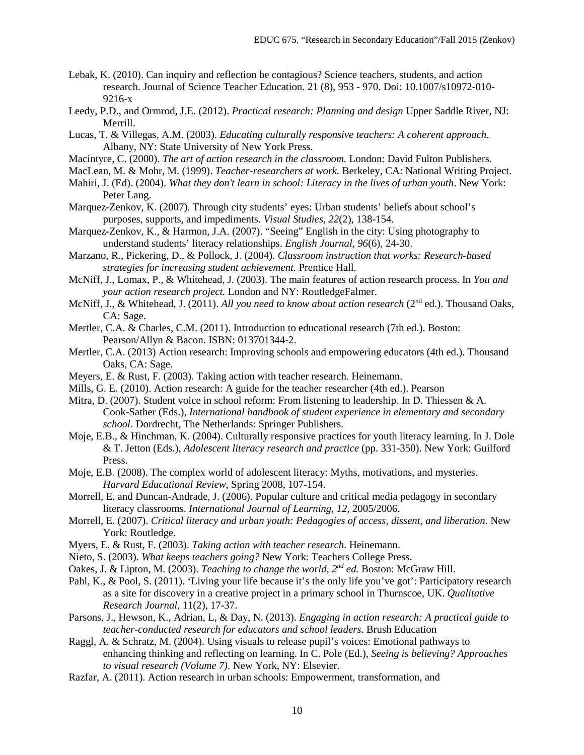- Lebak, K. (2010). Can inquiry and reflection be contagious? Science teachers, students, and action research. Journal of Science Teacher Education. 21 (8), 953 - 970. Doi: 10.1007/s10972-010- 9216-x
- Leedy, P.D., and Ormrod, J.E. (2012). *Practical research: Planning and design* Upper Saddle River, NJ: Merrill.
- Lucas, T. & Villegas, A.M. (2003). *Educating culturally responsive teachers: A coherent approach*. Albany, NY: State University of New York Press.
- Macintyre, C. (2000). *The art of action research in the classroom.* London: David Fulton Publishers.
- MacLean, M. & Mohr, M. (1999). *Teacher-researchers at work.* Berkeley, CA: National Writing Project.
- Mahiri, J. (Ed). (2004). *What they don't learn in school: Literacy in the lives of urban youth*. New York: Peter Lang.
- Marquez-Zenkov, K. (2007). Through city students' eyes: Urban students' beliefs about school's purposes, supports, and impediments. *Visual Studies, 22*(2), 138-154.
- Marquez-Zenkov, K., & Harmon, J.A. (2007). "Seeing" English in the city: Using photography to understand students' literacy relationships. *English Journal, 96*(6), 24-30.
- Marzano, R., Pickering, D., & Pollock, J. (2004). *Classroom instruction that works: Research-based strategies for increasing student achievement.* Prentice Hall.
- McNiff, J., Lomax, P., & Whitehead, J. (2003). The main features of action research process. In *You and your action research project.* London and NY: RoutledgeFalmer.
- McNiff, J., & Whitehead, J. (2011). *All you need to know about action research* (2nd ed.). Thousand Oaks, CA: Sage.
- Mertler, C.A. & Charles, C.M. (2011). Introduction to educational research (7th ed.). Boston: Pearson/Allyn & Bacon. ISBN: 013701344-2.
- Mertler, C.A. (2013) Action research: Improving schools and empowering educators (4th ed.). Thousand Oaks, CA: Sage.
- Meyers, E. & Rust, F. (2003). Taking action with teacher research. Heinemann.
- Mills, G. E. (2010). Action research: A guide for the teacher researcher (4th ed.). Pearson
- Mitra, D. (2007). Student voice in school reform: From listening to leadership. In D. Thiessen & A. Cook-Sather (Eds.), *International handbook of student experience in elementary and secondary school*. Dordrecht, The Netherlands: Springer Publishers.
- Moje, E.B., & Hinchman, K. (2004). Culturally responsive practices for youth literacy learning. In J. Dole & T. Jetton (Eds.), *Adolescent literacy research and practice* (pp. 331-350). New York: Guilford Press.
- Moje, E.B. (2008). The complex world of adolescent literacy: Myths, motivations, and mysteries. *Harvard Educational Review*, Spring 2008, 107-154.
- Morrell, E. and Duncan-Andrade, J. (2006). Popular culture and critical media pedagogy in secondary literacy classrooms. *International Journal of Learning, 12*, 2005/2006.
- Morrell, E. (2007). *Critical literacy and urban youth: Pedagogies of access, dissent, and liberation*. New York: Routledge.
- Myers, E. & Rust, F. (2003). *Taking action with teacher research*. Heinemann.
- Nieto, S. (2003). *What keeps teachers going?* New York: Teachers College Press.
- Oakes, J. & Lipton, M. (2003). *Teaching to change the world, 2nd ed.* Boston: McGraw Hill.
- Pahl, K., & Pool, S. (2011). 'Living your life because it's the only life you've got': Participatory research as a site for discovery in a creative project in a primary school in Thurnscoe, UK. *Qualitative Research Journal*, 11(2), 17-37.
- Parsons, J., Hewson, K., Adrian, L, & Day, N. (2013). *Engaging in action research: A practical guide to teacher-conducted research for educators and school leaders*. Brush Education
- Raggl, A. & Schratz, M. (2004). Using visuals to release pupil's voices: Emotional pathways to enhancing thinking and reflecting on learning. In C. Pole (Ed.), *Seeing is believing? Approaches to visual research (Volume 7)*. New York, NY: Elsevier.
- Razfar, A. (2011). Action research in urban schools: Empowerment, transformation, and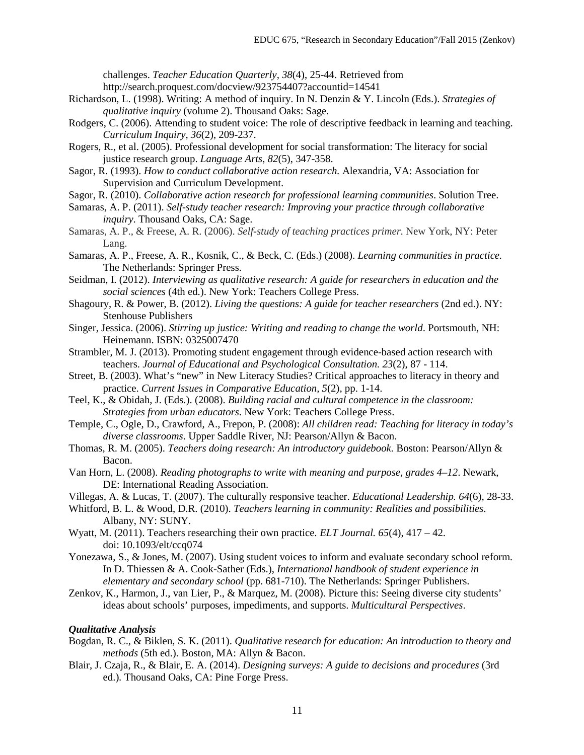challenges. *Teacher Education Quarterly, 38*(4), 25-44. Retrieved from http://search.proquest.com/docview/923754407?accountid=14541

- Richardson, L. (1998). Writing: A method of inquiry. In N. Denzin & Y. Lincoln (Eds.). *Strategies of qualitative inquiry* (volume 2). Thousand Oaks: Sage.
- Rodgers, C. (2006). Attending to student voice: The role of descriptive feedback in learning and teaching. *Curriculum Inquiry, 36*(2), 209-237.
- Rogers, R., et al. (2005). Professional development for social transformation: The literacy for social justice research group. *Language Arts, 82*(5), 347-358.
- Sagor, R. (1993). *How to conduct collaborative action research.* Alexandria, VA: Association for Supervision and Curriculum Development.
- Sagor, R. (2010). *Collaborative action research for professional learning communities*. Solution Tree.
- Samaras, A. P. (2011). *Self-study teacher research: Improving your practice through collaborative inquiry.* Thousand Oaks, CA: Sage.
- Samaras, A. P., & Freese, A. R. (2006). *Self-study of teaching practices primer.* New York, NY: Peter Lang.
- Samaras, A. P., Freese, A. R., Kosnik, C., & Beck, C. (Eds.) (2008). *Learning communities in practice.*  The Netherlands: Springer Press.
- Seidman, I. (2012). *Interviewing as qualitative research: A guide for researchers in education and the social sciences* (4th ed.). New York: Teachers College Press.
- Shagoury, R. & Power, B. (2012). *Living the questions: A guide for teacher researchers* (2nd ed.). NY: Stenhouse Publishers
- Singer, Jessica. (2006). *Stirring up justice: Writing and reading to change the world*. Portsmouth, NH: Heinemann. ISBN: 0325007470
- Strambler, M. J. (2013). Promoting student engagement through evidence-based action research with teachers. *Journal of Educational and Psychological Consultation. 23*(2), 87 - 114.
- Street, B. (2003). What's "new" in New Literacy Studies? Critical approaches to literacy in theory and practice. *Current Issues in Comparative Education, 5*(2), pp. 1-14.
- Teel, K., & Obidah, J. (Eds.). (2008). *Building racial and cultural competence in the classroom: Strategies from urban educators*. New York: Teachers College Press.
- Temple, C., Ogle, D., Crawford, A., Frepon, P. (2008): *All children read: Teaching for literacy in today's diverse classrooms*. Upper Saddle River, NJ: Pearson/Allyn & Bacon.
- Thomas, R. M. (2005). *Teachers doing research: An introductory guidebook.* Boston: Pearson/Allyn & Bacon.
- Van Horn, L. (2008). *Reading photographs to write with meaning and purpose, grades 4–12*. Newark, DE: International Reading Association.
- Villegas, A. & Lucas, T. (2007). The culturally responsive teacher. *Educational Leadership. 64*(6), 28-33.
- Whitford, B. L. & Wood, D.R. (2010). *Teachers learning in community: Realities and possibilities*. Albany, NY: SUNY.
- Wyatt, M. (2011). Teachers researching their own practice*. ELT Journal. 65*(4), 417 42. doi: 10.1093/elt/ccq074
- Yonezawa, S., & Jones, M. (2007). Using student voices to inform and evaluate secondary school reform. In D. Thiessen & A. Cook-Sather (Eds.), *International handbook of student experience in elementary and secondary school* (pp. 681-710). The Netherlands: Springer Publishers.
- Zenkov, K., Harmon, J., van Lier, P., & Marquez, M. (2008). Picture this: Seeing diverse city students' ideas about schools' purposes, impediments, and supports. *Multicultural Perspectives*.

### *Qualitative Analysis*

- Bogdan, R. C., & Biklen, S. K. (2011). *Qualitative research for education: An introduction to theory and methods* (5th ed.). Boston, MA: Allyn & Bacon.
- Blair, J. Czaja, R., & Blair, E. A. (2014). *Designing surveys: A guide to decisions and procedures* (3rd ed.)*.* Thousand Oaks, CA: Pine Forge Press.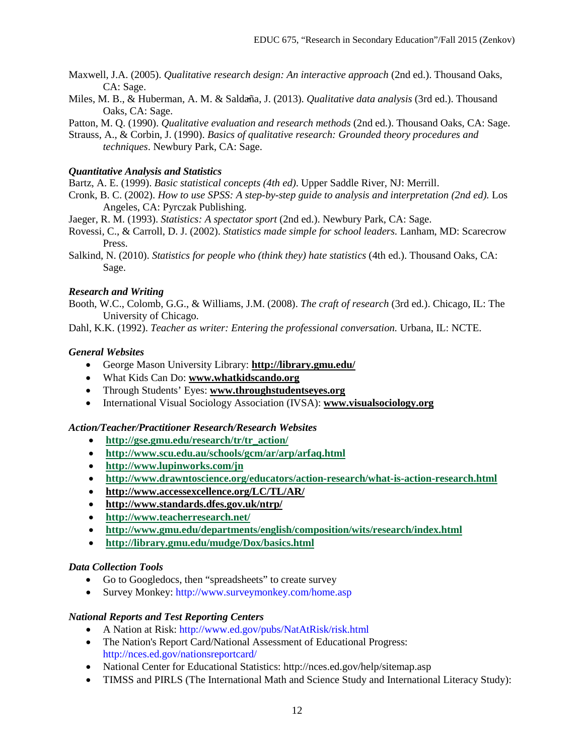- Maxwell, J.A. (2005). *Qualitative research design: An interactive approach* (2nd ed.). Thousand Oaks, CA: Sage.
- Miles, M. B., & Huberman, A. M. & Salda̴ña, J. (2013). *Qualitative data analysis* (3rd ed.). Thousand Oaks, CA: Sage.

Patton, M. Q. (1990). *Qualitative evaluation and research methods* (2nd ed.). Thousand Oaks, CA: Sage.

Strauss, A., & Corbin, J. (1990). *Basics of qualitative research: Grounded theory procedures and techniques*. Newbury Park, CA: Sage.

# *Quantitative Analysis and Statistics*

Bartz, A. E. (1999). *Basic statistical concepts (4th ed)*. Upper Saddle River, NJ: Merrill.

- Cronk, B. C. (2002). *How to use SPSS: A step-by-step guide to analysis and interpretation (2nd ed).* Los Angeles, CA: Pyrczak Publishing.
- Jaeger, R. M. (1993). *Statistics: A spectator sport* (2nd ed.). Newbury Park, CA: Sage.
- Rovessi, C., & Carroll, D. J. (2002). *Statistics made simple for school leaders.* Lanham, MD: Scarecrow Press.
- Salkind, N. (2010). *Statistics for people who (think they) hate statistics* (4th ed.). Thousand Oaks, CA: Sage.

## *Research and Writing*

Booth, W.C., Colomb, G.G., & Williams, J.M. (2008). *The craft of research* (3rd ed.). Chicago, IL: The University of Chicago.

Dahl, K.K. (1992). *Teacher as writer: Entering the professional conversation.* Urbana, IL: NCTE.

## *General Websites*

- George Mason University Library: **<http://library.gmu.edu/>**
- What Kids Can Do: **[www.whatkidscando.org](http://www.whatkidscando.org/)**
- Through Students' Eyes: **[www.throughstudentseyes.org](http://www.throughstudentseyes.org/)**
- International Visual Sociology Association (IVSA): **[www.visualsociology.org](http://www.visualsociology.org/)**

### *Action/Teacher/Practitioner Research/Research Websites*

- **[http://gse.gmu.edu/research/tr/tr\\_action/](http://gse.gmu.edu/research/tr/tr_action/)**
- **<http://www.scu.edu.au/schools/gcm/ar/arp/arfaq.html>**
- **<http://www.lupinworks.com/jn>**
- **<http://www.drawntoscience.org/educators/action-research/what-is-action-research.html>**
- **<http://www.accessexcellence.org/LC/TL/AR/>**
- **<http://www.standards.dfes.gov.uk/ntrp/>**
- **<http://www.teacherresearch.net/>**
- **<http://www.gmu.edu/departments/english/composition/wits/research/index.html>**
- **<http://library.gmu.edu/mudge/Dox/basics.html>**

### *Data Collection Tools*

- Go to Googledocs, then "spreadsheets" to create survey
- Survey Monkey: http://www.surveymonkey.com/home.asp

### *National Reports and Test Reporting Centers*

- A Nation at Risk: http://www.ed.gov/pubs/NatAtRisk/risk.html
- The Nation's Report Card/National Assessment of Educational Progress: http://nces.ed.gov/nationsreportcard/
- National Center for Educational Statistics: http://nces.ed.gov/help/sitemap.asp
- TIMSS and PIRLS (The International Math and Science Study and International Literacy Study):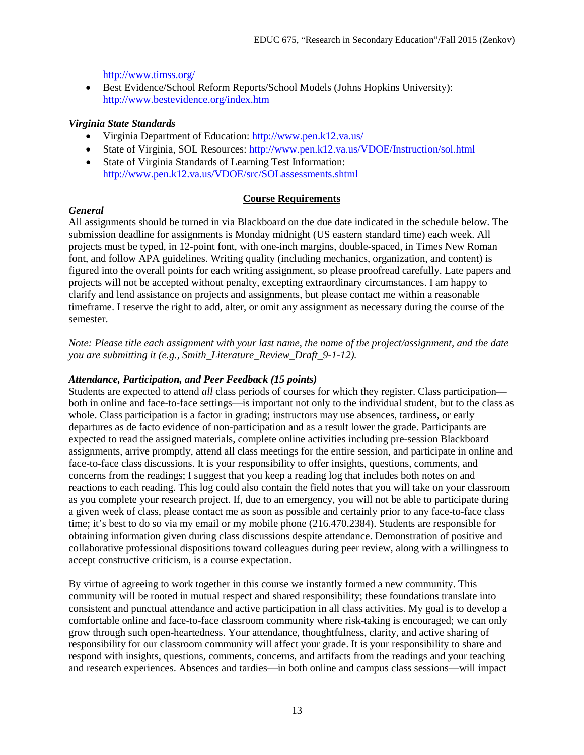http://www.timss.org/

• Best Evidence/School Reform Reports/School Models (Johns Hopkins University): http://www.bestevidence.org/index.htm

# *Virginia State Standards*

- Virginia Department of Education: http://www.pen.k12.va.us/
- State of Virginia, SOL Resources: http://www.pen.k12.va.us/VDOE/Instruction/sol.html
- State of Virginia Standards of Learning Test Information: http://www.pen.k12.va.us/VDOE/src/SOLassessments.shtml

### **Course Requirements**

# *General*

All assignments should be turned in via Blackboard on the due date indicated in the schedule below. The submission deadline for assignments is Monday midnight (US eastern standard time) each week. All projects must be typed, in 12-point font, with one-inch margins, double-spaced, in Times New Roman font, and follow APA guidelines. Writing quality (including mechanics, organization, and content) is figured into the overall points for each writing assignment, so please proofread carefully. Late papers and projects will not be accepted without penalty, excepting extraordinary circumstances. I am happy to clarify and lend assistance on projects and assignments, but please contact me within a reasonable timeframe. I reserve the right to add, alter, or omit any assignment as necessary during the course of the semester.

*Note: Please title each assignment with your last name, the name of the project/assignment, and the date you are submitting it (e.g., Smith\_Literature\_Review\_Draft\_9-1-12).*

## *Attendance, Participation, and Peer Feedback (15 points)*

Students are expected to attend *all* class periods of courses for which they register. Class participation both in online and face-to-face settings—is important not only to the individual student, but to the class as whole. Class participation is a factor in grading; instructors may use absences, tardiness, or early departures as de facto evidence of non-participation and as a result lower the grade. Participants are expected to read the assigned materials, complete online activities including pre-session Blackboard assignments, arrive promptly, attend all class meetings for the entire session, and participate in online and face-to-face class discussions. It is your responsibility to offer insights, questions, comments, and concerns from the readings; I suggest that you keep a reading log that includes both notes on and reactions to each reading. This log could also contain the field notes that you will take on your classroom as you complete your research project. If, due to an emergency, you will not be able to participate during a given week of class, please contact me as soon as possible and certainly prior to any face-to-face class time; it's best to do so via my email or my mobile phone (216.470.2384). Students are responsible for obtaining information given during class discussions despite attendance. Demonstration of positive and collaborative professional dispositions toward colleagues during peer review, along with a willingness to accept constructive criticism, is a course expectation.

By virtue of agreeing to work together in this course we instantly formed a new community. This community will be rooted in mutual respect and shared responsibility; these foundations translate into consistent and punctual attendance and active participation in all class activities. My goal is to develop a comfortable online and face-to-face classroom community where risk-taking is encouraged; we can only grow through such open-heartedness. Your attendance, thoughtfulness, clarity, and active sharing of responsibility for our classroom community will affect your grade. It is your responsibility to share and respond with insights, questions, comments, concerns, and artifacts from the readings and your teaching and research experiences. Absences and tardies—in both online and campus class sessions—will impact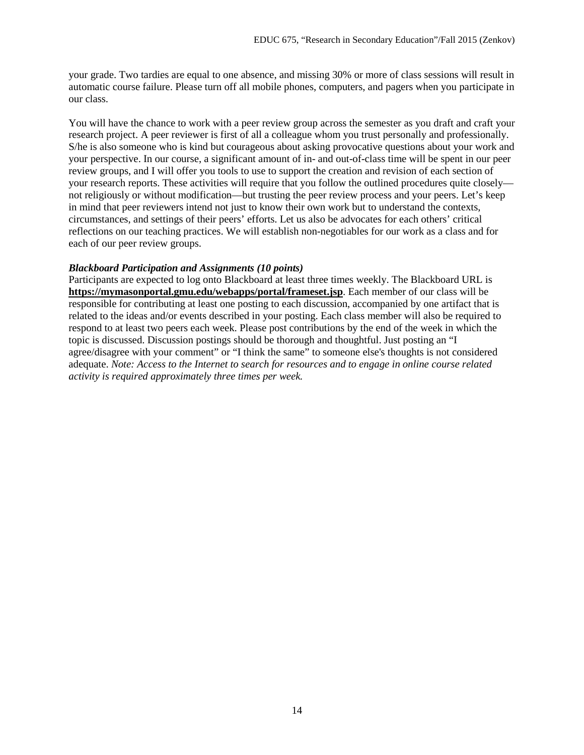your grade. Two tardies are equal to one absence, and missing 30% or more of class sessions will result in automatic course failure. Please turn off all mobile phones, computers, and pagers when you participate in our class.

You will have the chance to work with a peer review group across the semester as you draft and craft your research project. A peer reviewer is first of all a colleague whom you trust personally and professionally. S/he is also someone who is kind but courageous about asking provocative questions about your work and your perspective. In our course, a significant amount of in- and out-of-class time will be spent in our peer review groups, and I will offer you tools to use to support the creation and revision of each section of your research reports. These activities will require that you follow the outlined procedures quite closely not religiously or without modification—but trusting the peer review process and your peers. Let's keep in mind that peer reviewers intend not just to know their own work but to understand the contexts, circumstances, and settings of their peers' efforts. Let us also be advocates for each others' critical reflections on our teaching practices. We will establish non-negotiables for our work as a class and for each of our peer review groups.

### *Blackboard Participation and Assignments (10 points)*

Participants are expected to log onto Blackboard at least three times weekly. The Blackboard URL is **<https://mymasonportal.gmu.edu/webapps/portal/frameset.jsp>**. Each member of our class will be responsible for contributing at least one posting to each discussion, accompanied by one artifact that is related to the ideas and/or events described in your posting. Each class member will also be required to respond to at least two peers each week. Please post contributions by the end of the week in which the topic is discussed. Discussion postings should be thorough and thoughtful. Just posting an "I agree/disagree with your comment" or "I think the same" to someone else's thoughts is not considered adequate. *Note: Access to the Internet to search for resources and to engage in online course related activity is required approximately three times per week.*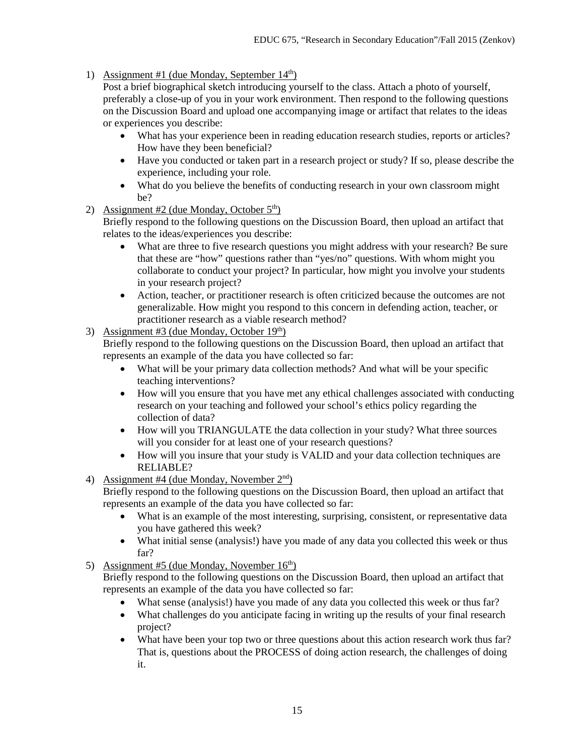1) Assignment #1 (due Monday, September  $14<sup>th</sup>$ )

Post a brief biographical sketch introducing yourself to the class. Attach a photo of yourself, preferably a close-up of you in your work environment. Then respond to the following questions on the Discussion Board and upload one accompanying image or artifact that relates to the ideas or experiences you describe:

- What has your experience been in reading education research studies, reports or articles? How have they been beneficial?
- Have you conducted or taken part in a research project or study? If so, please describe the experience, including your role.
- What do you believe the benefits of conducting research in your own classroom might be?
- 2) Assignment #2 (due Monday, October  $5<sup>th</sup>$ )

Briefly respond to the following questions on the Discussion Board, then upload an artifact that relates to the ideas/experiences you describe:

- What are three to five research questions you might address with your research? Be sure that these are "how" questions rather than "yes/no" questions. With whom might you collaborate to conduct your project? In particular, how might you involve your students in your research project?
- Action, teacher, or practitioner research is often criticized because the outcomes are not generalizable. How might you respond to this concern in defending action, teacher, or practitioner research as a viable research method?
- 3) Assignment #3 (due Monday, October  $19<sup>th</sup>$ )

Briefly respond to the following questions on the Discussion Board, then upload an artifact that represents an example of the data you have collected so far:

- What will be your primary data collection methods? And what will be your specific teaching interventions?
- How will you ensure that you have met any ethical challenges associated with conducting research on your teaching and followed your school's ethics policy regarding the collection of data?
- How will you TRIANGULATE the data collection in your study? What three sources will you consider for at least one of your research questions?
- How will you insure that your study is VALID and your data collection techniques are RELIABLE?
- 4) Assignment #4 (due Monday, November  $2<sup>nd</sup>$ )

Briefly respond to the following questions on the Discussion Board, then upload an artifact that represents an example of the data you have collected so far:

- What is an example of the most interesting, surprising, consistent, or representative data you have gathered this week?
- What initial sense (analysis!) have you made of any data you collected this week or thus far?
- 5) Assignment #5 (due Monday, November  $16<sup>th</sup>$ )

Briefly respond to the following questions on the Discussion Board, then upload an artifact that represents an example of the data you have collected so far:

- What sense (analysis!) have you made of any data you collected this week or thus far?
- What challenges do you anticipate facing in writing up the results of your final research project?
- What have been your top two or three questions about this action research work thus far? That is, questions about the PROCESS of doing action research, the challenges of doing it.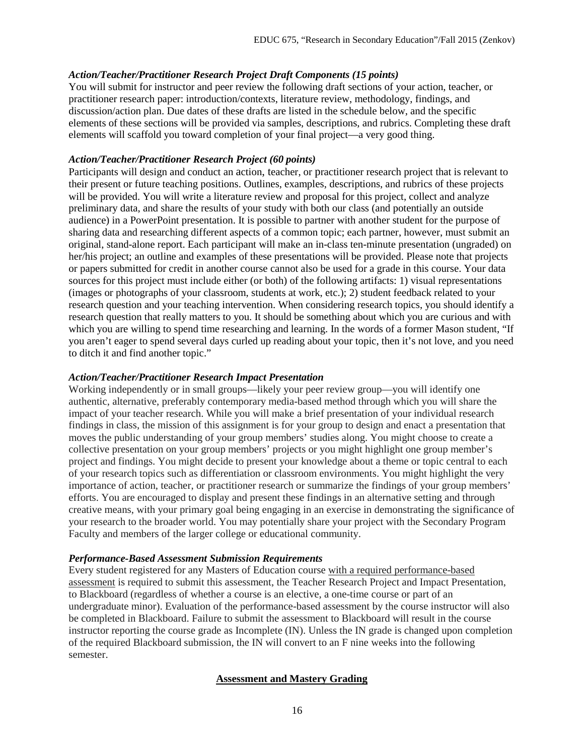## *Action/Teacher/Practitioner Research Project Draft Components (15 points)*

You will submit for instructor and peer review the following draft sections of your action, teacher, or practitioner research paper: introduction/contexts, literature review, methodology, findings, and discussion/action plan. Due dates of these drafts are listed in the schedule below, and the specific elements of these sections will be provided via samples, descriptions, and rubrics. Completing these draft elements will scaffold you toward completion of your final project—a very good thing.

## *Action/Teacher/Practitioner Research Project (60 points)*

Participants will design and conduct an action, teacher, or practitioner research project that is relevant to their present or future teaching positions. Outlines, examples, descriptions, and rubrics of these projects will be provided. You will write a literature review and proposal for this project, collect and analyze preliminary data, and share the results of your study with both our class (and potentially an outside audience) in a PowerPoint presentation. It is possible to partner with another student for the purpose of sharing data and researching different aspects of a common topic; each partner, however, must submit an original, stand-alone report. Each participant will make an in-class ten-minute presentation (ungraded) on her/his project; an outline and examples of these presentations will be provided. Please note that projects or papers submitted for credit in another course cannot also be used for a grade in this course. Your data sources for this project must include either (or both) of the following artifacts: 1) visual representations (images or photographs of your classroom, students at work, etc.); 2) student feedback related to your research question and your teaching intervention. When considering research topics, you should identify a research question that really matters to you. It should be something about which you are curious and with which you are willing to spend time researching and learning. In the words of a former Mason student, "If you aren't eager to spend several days curled up reading about your topic, then it's not love, and you need to ditch it and find another topic."

## *Action/Teacher/Practitioner Research Impact Presentation*

Working independently or in small groups—likely your peer review group—you will identify one authentic, alternative, preferably contemporary media-based method through which you will share the impact of your teacher research. While you will make a brief presentation of your individual research findings in class, the mission of this assignment is for your group to design and enact a presentation that moves the public understanding of your group members' studies along. You might choose to create a collective presentation on your group members' projects or you might highlight one group member's project and findings. You might decide to present your knowledge about a theme or topic central to each of your research topics such as differentiation or classroom environments. You might highlight the very importance of action, teacher, or practitioner research or summarize the findings of your group members' efforts. You are encouraged to display and present these findings in an alternative setting and through creative means, with your primary goal being engaging in an exercise in demonstrating the significance of your research to the broader world. You may potentially share your project with the Secondary Program Faculty and members of the larger college or educational community.

### *Performance-Based Assessment Submission Requirements*

Every student registered for any Masters of Education course with a required performance-based assessment is required to submit this assessment, the Teacher Research Project and Impact Presentation, to Blackboard (regardless of whether a course is an elective, a one-time course or part of an undergraduate minor). Evaluation of the performance-based assessment by the course instructor will also be completed in Blackboard. Failure to submit the assessment to Blackboard will result in the course instructor reporting the course grade as Incomplete (IN). Unless the IN grade is changed upon completion of the required Blackboard submission, the IN will convert to an F nine weeks into the following semester.

# **Assessment and Mastery Grading**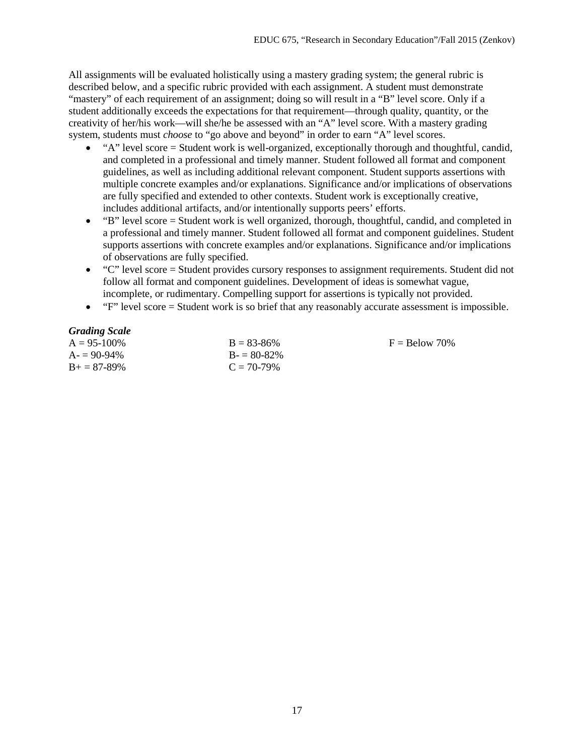All assignments will be evaluated holistically using a mastery grading system; the general rubric is described below, and a specific rubric provided with each assignment. A student must demonstrate "mastery" of each requirement of an assignment; doing so will result in a "B" level score. Only if a student additionally exceeds the expectations for that requirement—through quality, quantity, or the creativity of her/his work—will she/he be assessed with an "A" level score. With a mastery grading system, students must *choose* to "go above and beyond" in order to earn "A" level scores.

- "A" level score = Student work is well-organized, exceptionally thorough and thoughtful, candid, and completed in a professional and timely manner. Student followed all format and component guidelines, as well as including additional relevant component. Student supports assertions with multiple concrete examples and/or explanations. Significance and/or implications of observations are fully specified and extended to other contexts. Student work is exceptionally creative, includes additional artifacts, and/or intentionally supports peers' efforts.
- "B" level score = Student work is well organized, thorough, thoughtful, candid, and completed in a professional and timely manner. Student followed all format and component guidelines. Student supports assertions with concrete examples and/or explanations. Significance and/or implications of observations are fully specified.
- "C" level score = Student provides cursory responses to assignment requirements. Student did not follow all format and component guidelines. Development of ideas is somewhat vague, incomplete, or rudimentary. Compelling support for assertions is typically not provided.
- "F" level score = Student work is so brief that any reasonably accurate assessment is impossible.

## *Grading Scale*

| $B = 83 - 86\%$ |
|-----------------|
| $B = 80-82\%$   |
| $C = 70-79\%$   |
|                 |

 $F =$ Below 70%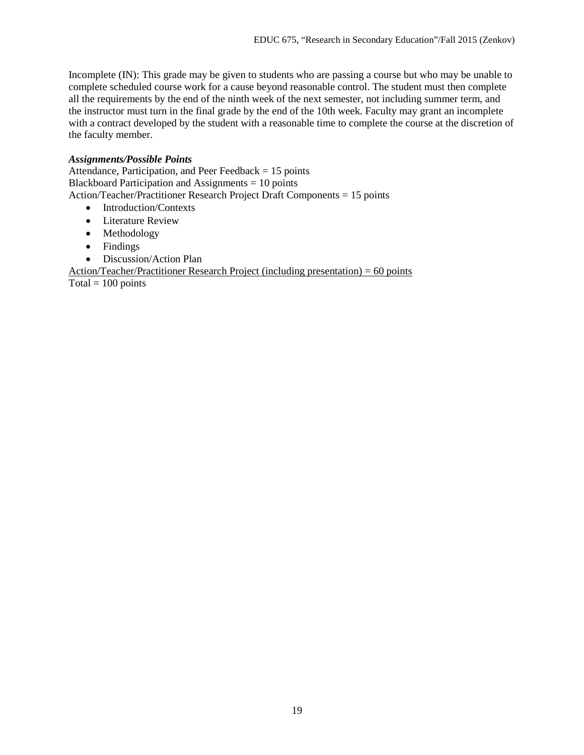Incomplete (IN): This grade may be given to students who are passing a course but who may be unable to complete scheduled course work for a cause beyond reasonable control. The student must then complete all the requirements by the end of the ninth week of the next semester, not including summer term, and the instructor must turn in the final grade by the end of the 10th week. Faculty may grant an incomplete with a contract developed by the student with a reasonable time to complete the course at the discretion of the faculty member.

### *Assignments/Possible Points*

Attendance, Participation, and Peer Feedback = 15 points Blackboard Participation and Assignments = 10 points Action/Teacher/Practitioner Research Project Draft Components = 15 points

- Introduction/Contexts
- Literature Review
- Methodology
- Findings
- Discussion/Action Plan

Action/Teacher/Practitioner Research Project (including presentation) =  $60$  points Total =  $100$  points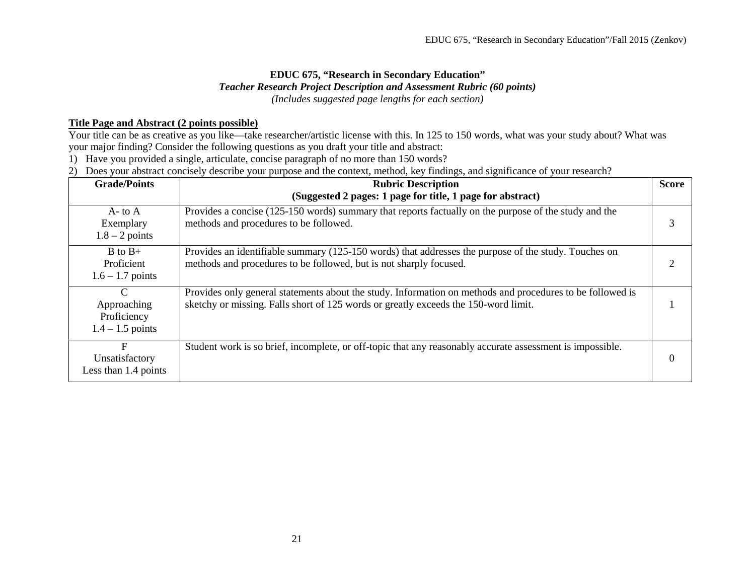# **EDUC 675, "Research in Secondary Education"** *Teacher Research Project Description and Assessment Rubric (60 points) (Includes suggested page lengths for each section)*

## **Title Page and Abstract (2 points possible)**

Your title can be as creative as you like—take researcher/artistic license with this. In 125 to 150 words, what was your study about? What was your major finding? Consider the following questions as you draft your title and abstract:

1) Have you provided a single, articulate, concise paragraph of no more than 150 words?

2) Does your abstract concisely describe your purpose and the context, method, key findings, and significance of your research?

| <b>Grade/Points</b>                                               | <b>Rubric Description</b><br>(Suggested 2 pages: 1 page for title, 1 page for abstract)                                                                                                          |          |
|-------------------------------------------------------------------|--------------------------------------------------------------------------------------------------------------------------------------------------------------------------------------------------|----------|
| $A$ - to $A$<br>Exemplary<br>$1.8 - 2$ points                     | Provides a concise (125-150 words) summary that reports factually on the purpose of the study and the<br>methods and procedures to be followed.                                                  |          |
| $B$ to $B+$<br>Proficient<br>$1.6 - 1.7$ points                   | Provides an identifiable summary (125-150 words) that addresses the purpose of the study. Touches on<br>methods and procedures to be followed, but is not sharply focused.                       |          |
| $\mathcal{C}$<br>Approaching<br>Proficiency<br>$1.4 - 1.5$ points | Provides only general statements about the study. Information on methods and procedures to be followed is<br>sketchy or missing. Falls short of 125 words or greatly exceeds the 150-word limit. |          |
| F<br>Unsatisfactory<br>Less than 1.4 points                       | Student work is so brief, incomplete, or off-topic that any reasonably accurate assessment is impossible.                                                                                        | $\Omega$ |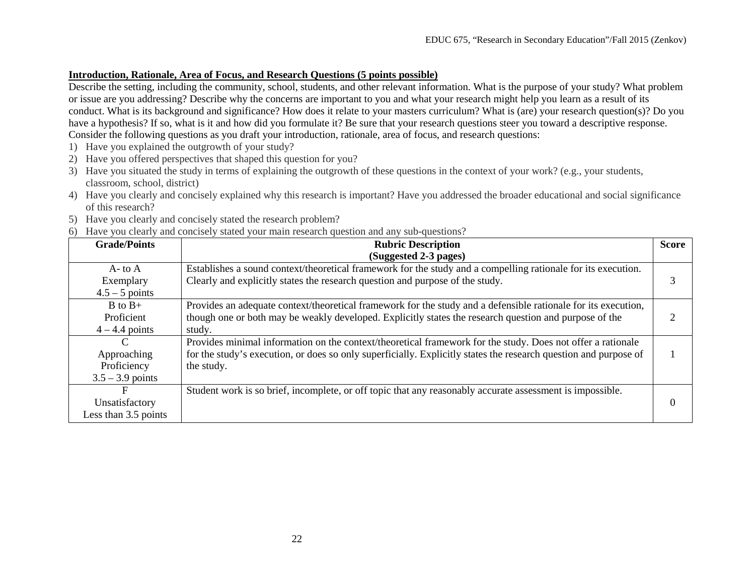## **Introduction, Rationale, Area of Focus, and Research Questions (5 points possible)**

Describe the setting, including the community, school, students, and other relevant information. What is the purpose of your study? What problem or issue are you addressing? Describe why the concerns are important to you and what your research might help you learn as a result of its conduct. What is its background and significance? How does it relate to your masters curriculum? What is (are) your research question(s)? Do you have a hypothesis? If so, what is it and how did you formulate it? Be sure that your research questions steer you toward a descriptive response. Consider the following questions as you draft your introduction, rationale, area of focus, and research questions:

- 1) Have you explained the outgrowth of your study?
- 2) Have you offered perspectives that shaped this question for you?
- 3) Have you situated the study in terms of explaining the outgrowth of these questions in the context of your work? (e.g., your students, classroom, school, district)
- 4) Have you clearly and concisely explained why this research is important? Have you addressed the broader educational and social significance of this research?
- 5) Have you clearly and concisely stated the research problem?
- 6) Have you clearly and concisely stated your main research question and any sub-questions?

| <b>Grade/Points</b>  | <b>Rubric Description</b>                                                                                        |  |  |
|----------------------|------------------------------------------------------------------------------------------------------------------|--|--|
|                      | (Suggested 2-3 pages)                                                                                            |  |  |
| $A$ - to $A$         | Establishes a sound context/theoretical framework for the study and a compelling rationale for its execution.    |  |  |
| Exemplary            | Clearly and explicitly states the research question and purpose of the study.                                    |  |  |
| $4.5 - 5$ points     |                                                                                                                  |  |  |
| $B$ to $B+$          | Provides an adequate context/theoretical framework for the study and a defensible rationale for its execution,   |  |  |
| Proficient           | though one or both may be weakly developed. Explicitly states the research question and purpose of the           |  |  |
| $4 - 4.4$ points     | study.                                                                                                           |  |  |
|                      | Provides minimal information on the context/theoretical framework for the study. Does not offer a rationale      |  |  |
| Approaching          | for the study's execution, or does so only superficially. Explicitly states the research question and purpose of |  |  |
| Proficiency          | the study.                                                                                                       |  |  |
| $3.5 - 3.9$ points   |                                                                                                                  |  |  |
| F                    | Student work is so brief, incomplete, or off topic that any reasonably accurate assessment is impossible.        |  |  |
| Unsatisfactory       |                                                                                                                  |  |  |
| Less than 3.5 points |                                                                                                                  |  |  |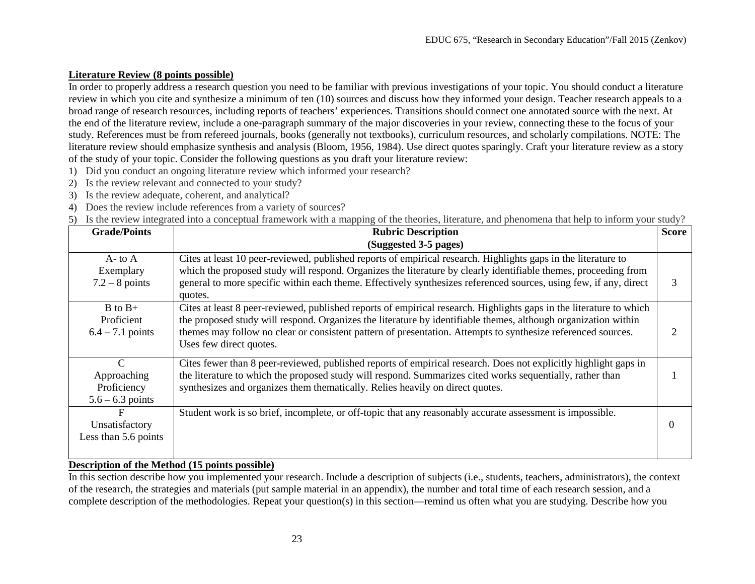# **Literature Review (8 points possible)**

In order to properly address a research question you need to be familiar with previous investigations of your topic. You should conduct a literature review in which you cite and synthesize a minimum of ten (10) sources and discuss how they informed your design. Teacher research appeals to a broad range of research resources, including reports of teachers' experiences. Transitions should connect one annotated source with the next. At the end of the literature review, include a one-paragraph summary of the major discoveries in your review, connecting these to the focus of your study. References must be from refereed journals, books (generally not textbooks), curriculum resources, and scholarly compilations. NOTE: The literature review should emphasize synthesis and analysis (Bloom, 1956, 1984). Use direct quotes sparingly. Craft your literature review as a story of the study of your topic. Consider the following questions as you draft your literature review:

- 1) Did you conduct an ongoing literature review which informed your research?
- 2) Is the review relevant and connected to your study?
- 3) Is the review adequate, coherent, and analytical?
- 4) Does the review include references from a variety of sources?
- 5) Is the review integrated into a conceptual framework with a mapping of the theories, literature, and phenomena that help to inform your study?

| <b>Grade/Points</b>                                               | <b>Rubric Description</b>                                                                                                                                                                                                                                                                                                                                                        |   |  |
|-------------------------------------------------------------------|----------------------------------------------------------------------------------------------------------------------------------------------------------------------------------------------------------------------------------------------------------------------------------------------------------------------------------------------------------------------------------|---|--|
|                                                                   | (Suggested 3-5 pages)                                                                                                                                                                                                                                                                                                                                                            |   |  |
| $A$ - to $A$<br>Exemplary<br>$7.2 - 8$ points                     | Cites at least 10 peer-reviewed, published reports of empirical research. Highlights gaps in the literature to<br>which the proposed study will respond. Organizes the literature by clearly identifiable themes, proceeding from<br>general to more specific within each theme. Effectively synthesizes referenced sources, using few, if any, direct<br>quotes.                | 3 |  |
| $B$ to $B+$<br>Proficient<br>$6.4 - 7.1$ points                   | Cites at least 8 peer-reviewed, published reports of empirical research. Highlights gaps in the literature to which<br>the proposed study will respond. Organizes the literature by identifiable themes, although organization within<br>themes may follow no clear or consistent pattern of presentation. Attempts to synthesize referenced sources.<br>Uses few direct quotes. |   |  |
| $\mathcal{C}$<br>Approaching<br>Proficiency<br>$5.6 - 6.3$ points | Cites fewer than 8 peer-reviewed, published reports of empirical research. Does not explicitly highlight gaps in<br>the literature to which the proposed study will respond. Summarizes cited works sequentially, rather than<br>synthesizes and organizes them thematically. Relies heavily on direct quotes.                                                                   |   |  |
| F<br>Unsatisfactory<br>Less than 5.6 points                       | Student work is so brief, incomplete, or off-topic that any reasonably accurate assessment is impossible.                                                                                                                                                                                                                                                                        |   |  |

#### **Description of the Method (15 points possible)**

In this section describe how you implemented your research. Include a description of subjects (i.e., students, teachers, administrators), the context of the research, the strategies and materials (put sample material in an appendix), the number and total time of each research session, and a complete description of the methodologies. Repeat your question(s) in this section—remind us often what you are studying. Describe how you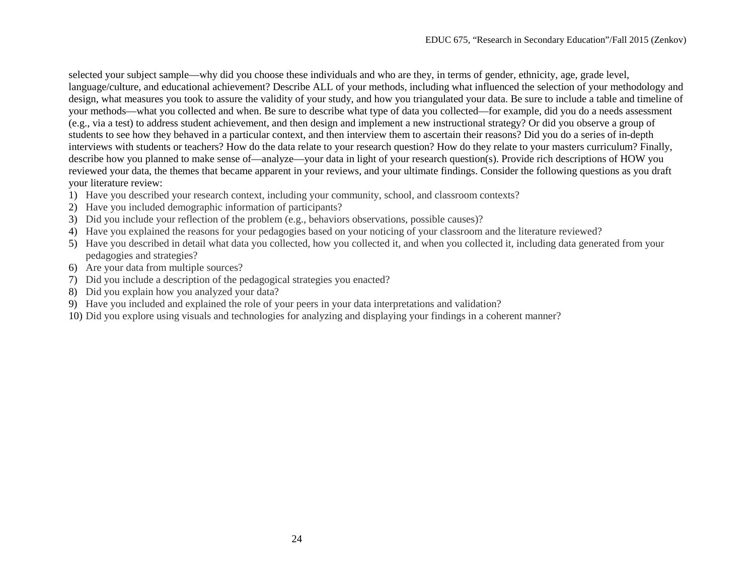selected your subject sample—why did you choose these individuals and who are they, in terms of gender, ethnicity, age, grade level, language/culture, and educational achievement? Describe ALL of your methods, including what influenced the selection of your methodology and design, what measures you took to assure the validity of your study, and how you triangulated your data. Be sure to include a table and timeline of your methods—what you collected and when. Be sure to describe what type of data you collected—for example, did you do a needs assessment (e.g., via a test) to address student achievement, and then design and implement a new instructional strategy? Or did you observe a group of students to see how they behaved in a particular context, and then interview them to ascertain their reasons? Did you do a series of in-depth interviews with students or teachers? How do the data relate to your research question? How do they relate to your masters curriculum? Finally, describe how you planned to make sense of—analyze—your data in light of your research question(s). Provide rich descriptions of HOW you reviewed your data, the themes that became apparent in your reviews, and your ultimate findings. Consider the following questions as you draft your literature review:

- 1) Have you described your research context, including your community, school, and classroom contexts?
- 2) Have you included demographic information of participants?
- 3) Did you include your reflection of the problem (e.g., behaviors observations, possible causes)?
- 4) Have you explained the reasons for your pedagogies based on your noticing of your classroom and the literature reviewed?
- 5) Have you described in detail what data you collected, how you collected it, and when you collected it, including data generated from your pedagogies and strategies?
- 6) Are your data from multiple sources?
- 7) Did you include a description of the pedagogical strategies you enacted?
- 8) Did you explain how you analyzed your data?
- 9) Have you included and explained the role of your peers in your data interpretations and validation?
- 10) Did you explore using visuals and technologies for analyzing and displaying your findings in a coherent manner?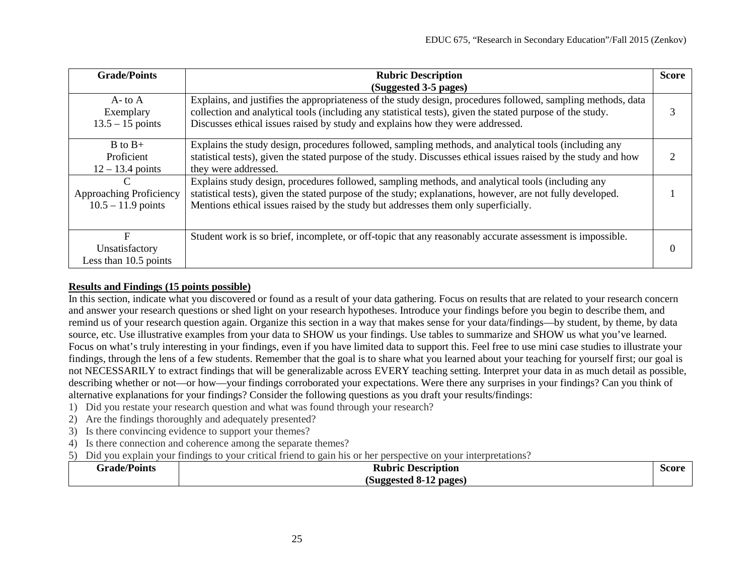| <b>Grade/Points</b>                                  | <b>Rubric Description</b>                                                                                                                                                                                                                                                                                   |  |
|------------------------------------------------------|-------------------------------------------------------------------------------------------------------------------------------------------------------------------------------------------------------------------------------------------------------------------------------------------------------------|--|
|                                                      | (Suggested 3-5 pages)                                                                                                                                                                                                                                                                                       |  |
| $A$ - to $A$<br>Exemplary<br>$13.5 - 15$ points      | Explains, and justifies the appropriateness of the study design, procedures followed, sampling methods, data<br>collection and analytical tools (including any statistical tests), given the stated purpose of the study.<br>Discusses ethical issues raised by study and explains how they were addressed. |  |
| $B$ to $B+$<br>Proficient<br>$12 - 13.4$ points      | Explains the study design, procedures followed, sampling methods, and analytical tools (including any<br>statistical tests), given the stated purpose of the study. Discusses ethical issues raised by the study and how<br>they were addressed.                                                            |  |
| C<br>Approaching Proficiency<br>$10.5 - 11.9$ points | Explains study design, procedures followed, sampling methods, and analytical tools (including any<br>statistical tests), given the stated purpose of the study; explanations, however, are not fully developed.<br>Mentions ethical issues raised by the study but addresses them only superficially.       |  |
| F<br>Unsatisfactory<br>Less than 10.5 points         | Student work is so brief, incomplete, or off-topic that any reasonably accurate assessment is impossible.                                                                                                                                                                                                   |  |

# **Results and Findings (15 points possible)**

In this section, indicate what you discovered or found as a result of your data gathering. Focus on results that are related to your research concern and answer your research questions or shed light on your research hypotheses. Introduce your findings before you begin to describe them, and remind us of your research question again. Organize this section in a way that makes sense for your data/findings—by student, by theme, by data source, etc. Use illustrative examples from your data to SHOW us your findings. Use tables to summarize and SHOW us what you've learned. Focus on what's truly interesting in your findings, even if you have limited data to support this. Feel free to use mini case studies to illustrate your findings, through the lens of a few students. Remember that the goal is to share what you learned about your teaching for yourself first; our goal is not NECESSARILY to extract findings that will be generalizable across EVERY teaching setting. Interpret your data in as much detail as possible, describing whether or not—or how—your findings corroborated your expectations. Were there any surprises in your findings? Can you think of alternative explanations for your findings? Consider the following questions as you draft your results/findings:

- 1) Did you restate your research question and what was found through your research?
- 2) Are the findings thoroughly and adequately presented?
- 3) Is there convincing evidence to support your themes?
- 4) Is there connection and coherence among the separate themes?
- 5) Did you explain your findings to your critical friend to gain his or her perspective on your interpretations?

| <b>Grade/Points</b> | <b>Description</b><br>Kubric     | Score |
|---------------------|----------------------------------|-------|
|                     | (Suggested 8-1)<br>pages)<br>--- |       |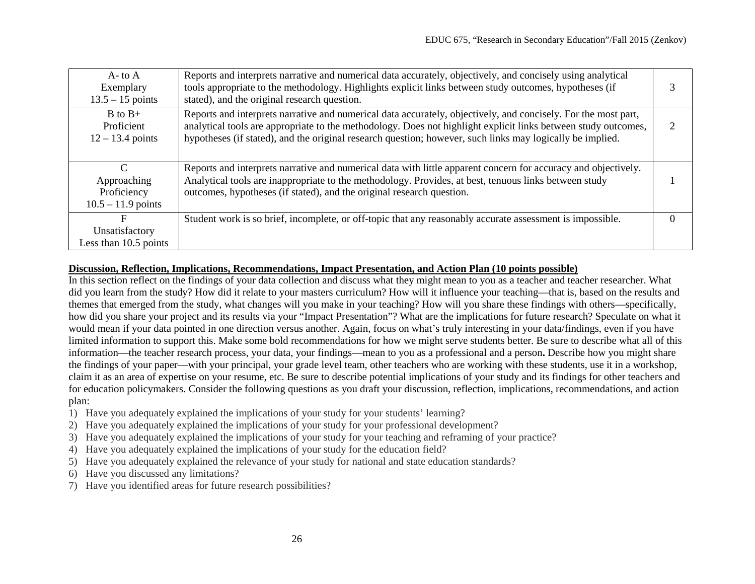| $A$ - to $A$<br>Exemplary<br>$13.5 - 15$ points                     | Reports and interprets narrative and numerical data accurately, objectively, and concisely using analytical<br>tools appropriate to the methodology. Highlights explicit links between study outcomes, hypotheses (if<br>stated), and the original research question.                                                                         |  |  |  |
|---------------------------------------------------------------------|-----------------------------------------------------------------------------------------------------------------------------------------------------------------------------------------------------------------------------------------------------------------------------------------------------------------------------------------------|--|--|--|
| $B$ to $B+$<br>Proficient<br>$12 - 13.4$ points                     | Reports and interprets narrative and numerical data accurately, objectively, and concisely. For the most part,<br>analytical tools are appropriate to the methodology. Does not highlight explicit links between study outcomes,<br>hypotheses (if stated), and the original research question; however, such links may logically be implied. |  |  |  |
| $\mathcal{C}$<br>Approaching<br>Proficiency<br>$10.5 - 11.9$ points | Reports and interprets narrative and numerical data with little apparent concern for accuracy and objectively.<br>Analytical tools are inappropriate to the methodology. Provides, at best, tenuous links between study<br>outcomes, hypotheses (if stated), and the original research question.                                              |  |  |  |
| F<br>Unsatisfactory<br>Less than 10.5 points                        | Student work is so brief, incomplete, or off-topic that any reasonably accurate assessment is impossible.                                                                                                                                                                                                                                     |  |  |  |

# **Discussion, Reflection, Implications, Recommendations, Impact Presentation, and Action Plan (10 points possible)**

In this section reflect on the findings of your data collection and discuss what they might mean to you as a teacher and teacher researcher. What did you learn from the study? How did it relate to your masters curriculum? How will it influence your teaching—that is, based on the results and themes that emerged from the study, what changes will you make in your teaching? How will you share these findings with others—specifically, how did you share your project and its results via your "Impact Presentation"? What are the implications for future research? Speculate on what it would mean if your data pointed in one direction versus another. Again, focus on what's truly interesting in your data/findings, even if you have limited information to support this. Make some bold recommendations for how we might serve students better. Be sure to describe what all of this information—the teacher research process, your data, your findings—mean to you as a professional and a person**.** Describe how you might share the findings of your paper—with your principal, your grade level team, other teachers who are working with these students, use it in a workshop, claim it as an area of expertise on your resume, etc. Be sure to describe potential implications of your study and its findings for other teachers and for education policymakers. Consider the following questions as you draft your discussion, reflection, implications, recommendations, and action plan:

- 1) Have you adequately explained the implications of your study for your students' learning?
- 2) Have you adequately explained the implications of your study for your professional development?
- 3) Have you adequately explained the implications of your study for your teaching and reframing of your practice?
- 4) Have you adequately explained the implications of your study for the education field?
- 5) Have you adequately explained the relevance of your study for national and state education standards?
- 6) Have you discussed any limitations?
- 7) Have you identified areas for future research possibilities?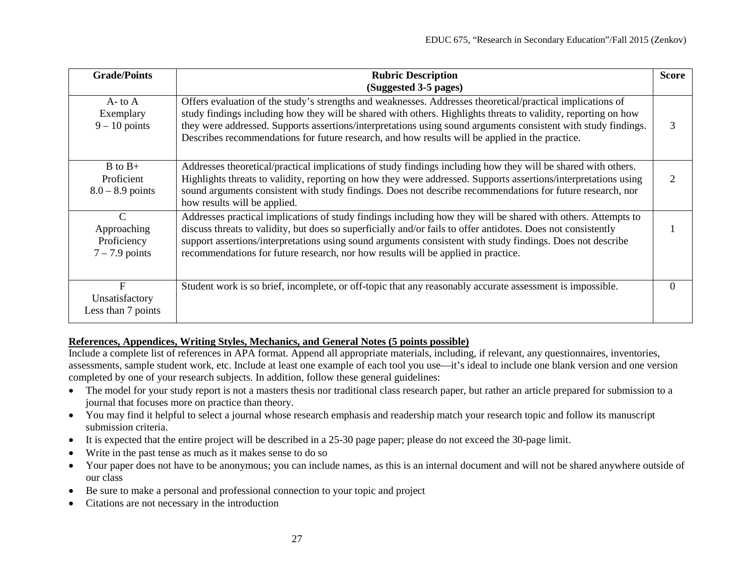| <b>Grade/Points</b>                                             | <b>Rubric Description</b><br>(Suggested 3-5 pages)                                                                                                                                                                                                                                                                                                                                                                                                | <b>Score</b> |
|-----------------------------------------------------------------|---------------------------------------------------------------------------------------------------------------------------------------------------------------------------------------------------------------------------------------------------------------------------------------------------------------------------------------------------------------------------------------------------------------------------------------------------|--------------|
| $A$ - to $A$<br>Exemplary<br>$9 - 10$ points                    | Offers evaluation of the study's strengths and weaknesses. Addresses theoretical/practical implications of<br>study findings including how they will be shared with others. Highlights threats to validity, reporting on how<br>they were addressed. Supports assertions/interpretations using sound arguments consistent with study findings.<br>Describes recommendations for future research, and how results will be applied in the practice. | 3            |
| $B$ to $B+$<br>Proficient<br>$8.0 - 8.9$ points                 | Addresses theoretical/practical implications of study findings including how they will be shared with others.<br>Highlights threats to validity, reporting on how they were addressed. Supports assertions/interpretations using<br>sound arguments consistent with study findings. Does not describe recommendations for future research, nor<br>how results will be applied.                                                                    |              |
| $\mathcal{C}$<br>Approaching<br>Proficiency<br>$7 - 7.9$ points | Addresses practical implications of study findings including how they will be shared with others. Attempts to<br>discuss threats to validity, but does so superficially and/or fails to offer antidotes. Does not consistently<br>support assertions/interpretations using sound arguments consistent with study findings. Does not describe<br>recommendations for future research, nor how results will be applied in practice.                 |              |
| $\mathbf{F}$<br>Unsatisfactory<br>Less than 7 points            | Student work is so brief, incomplete, or off-topic that any reasonably accurate assessment is impossible.                                                                                                                                                                                                                                                                                                                                         | $\Omega$     |

# **References, Appendices, Writing Styles, Mechanics, and General Notes (5 points possible)**

Include a complete list of references in APA format. Append all appropriate materials, including, if relevant, any questionnaires, inventories, assessments, sample student work, etc. Include at least one example of each tool you use—it's ideal to include one blank version and one version completed by one of your research subjects. In addition, follow these general guidelines:

- The model for your study report is not a masters thesis nor traditional class research paper, but rather an article prepared for submission to a journal that focuses more on practice than theory.
- You may find it helpful to select a journal whose research emphasis and readership match your research topic and follow its manuscript submission criteria.
- It is expected that the entire project will be described in a 25-30 page paper; please do not exceed the 30-page limit.
- Write in the past tense as much as it makes sense to do so
- Your paper does not have to be anonymous; you can include names, as this is an internal document and will not be shared anywhere outside of our class
- Be sure to make a personal and professional connection to your topic and project
- Citations are not necessary in the introduction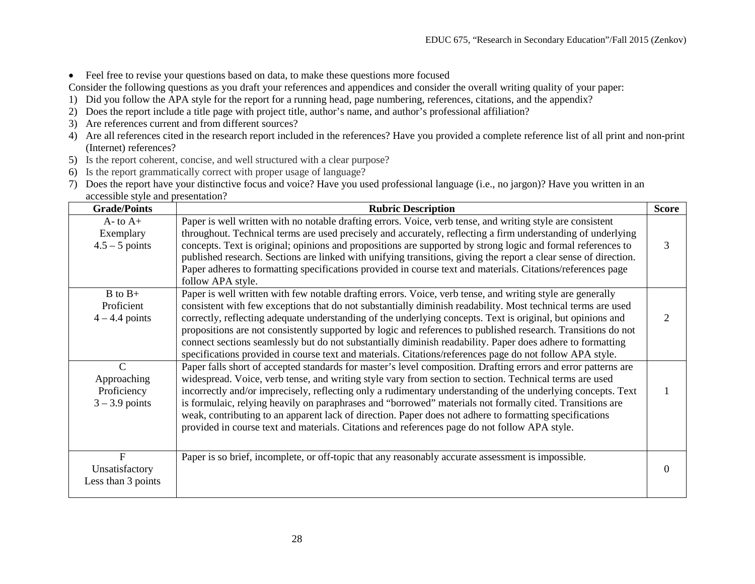• Feel free to revise your questions based on data, to make these questions more focused

Consider the following questions as you draft your references and appendices and consider the overall writing quality of your paper:

- 1) Did you follow the APA style for the report for a running head, page numbering, references, citations, and the appendix?
- 2) Does the report include a title page with project title, author's name, and author's professional affiliation?
- 3) Are references current and from different sources?
- 4) Are all references cited in the research report included in the references? Have you provided a complete reference list of all print and non-print (Internet) references?
- 5) Is the report coherent, concise, and well structured with a clear purpose?
- 6) Is the report grammatically correct with proper usage of language?
- 7) Does the report have your distinctive focus and voice? Have you used professional language (i.e., no jargon)? Have you written in an accessible style and presentation?

| <b>Grade/Points</b>                                             | <b>Rubric Description</b>                                                                                                                                                                                                                                                                                                                                                                                                                                                                                                                                                                                                                                                            | <b>Score</b> |
|-----------------------------------------------------------------|--------------------------------------------------------------------------------------------------------------------------------------------------------------------------------------------------------------------------------------------------------------------------------------------------------------------------------------------------------------------------------------------------------------------------------------------------------------------------------------------------------------------------------------------------------------------------------------------------------------------------------------------------------------------------------------|--------------|
| $A$ - to $A$ +<br>Exemplary<br>$4.5 - 5$ points                 | Paper is well written with no notable drafting errors. Voice, verb tense, and writing style are consistent<br>throughout. Technical terms are used precisely and accurately, reflecting a firm understanding of underlying<br>concepts. Text is original; opinions and propositions are supported by strong logic and formal references to<br>published research. Sections are linked with unifying transitions, giving the report a clear sense of direction.<br>Paper adheres to formatting specifications provided in course text and materials. Citations/references page<br>follow APA style.                                                                                   | 3            |
| $B$ to $B+$<br>Proficient<br>$4 - 4.4$ points                   | Paper is well written with few notable drafting errors. Voice, verb tense, and writing style are generally<br>consistent with few exceptions that do not substantially diminish readability. Most technical terms are used<br>correctly, reflecting adequate understanding of the underlying concepts. Text is original, but opinions and<br>propositions are not consistently supported by logic and references to published research. Transitions do not<br>connect sections seamlessly but do not substantially diminish readability. Paper does adhere to formatting<br>specifications provided in course text and materials. Citations/references page do not follow APA style. |              |
| $\mathcal{C}$<br>Approaching<br>Proficiency<br>$3 - 3.9$ points | Paper falls short of accepted standards for master's level composition. Drafting errors and error patterns are<br>widespread. Voice, verb tense, and writing style vary from section to section. Technical terms are used<br>incorrectly and/or imprecisely, reflecting only a rudimentary understanding of the underlying concepts. Text<br>is formulaic, relying heavily on paraphrases and "borrowed" materials not formally cited. Transitions are<br>weak, contributing to an apparent lack of direction. Paper does not adhere to formatting specifications<br>provided in course text and materials. Citations and references page do not follow APA style.                   |              |
| F<br>Unsatisfactory<br>Less than 3 points                       | Paper is so brief, incomplete, or off-topic that any reasonably accurate assessment is impossible.                                                                                                                                                                                                                                                                                                                                                                                                                                                                                                                                                                                   | $\theta$     |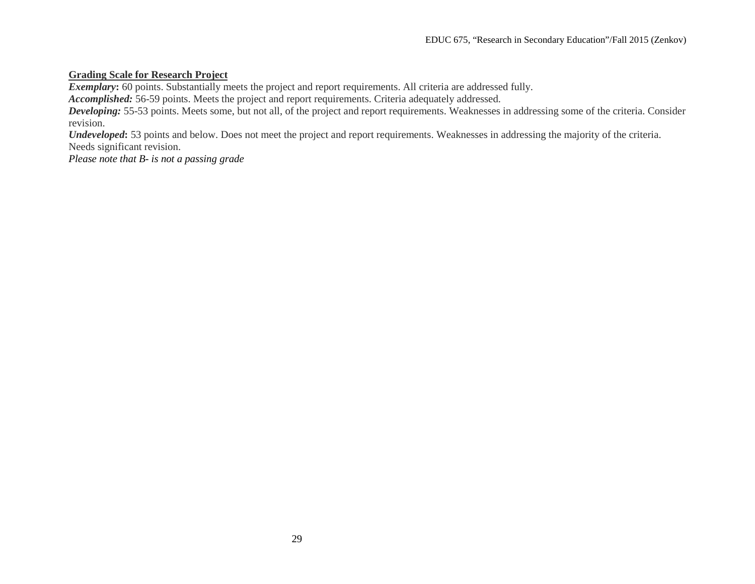# **Grading Scale for Research Project**

*Exemplary*: 60 points. Substantially meets the project and report requirements. All criteria are addressed fully.

*Accomplished:* 56-59 points. Meets the project and report requirements. Criteria adequately addressed.

*Developing:* 55-53 points. Meets some, but not all, of the project and report requirements. Weaknesses in addressing some of the criteria. Consider revision.

*Undeveloped*: 53 points and below. Does not meet the project and report requirements. Weaknesses in addressing the majority of the criteria. Needs significant revision.

*Please note that B- is not a passing grade*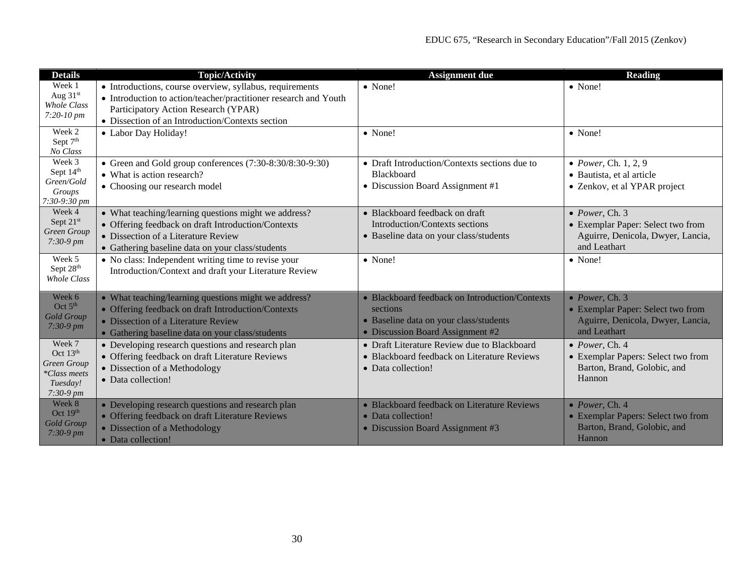| <b>Details</b>                             | <b>Topic/Activity</b>                                                                                      | <b>Assignment due</b>                                      | <b>Reading</b>                                                         |
|--------------------------------------------|------------------------------------------------------------------------------------------------------------|------------------------------------------------------------|------------------------------------------------------------------------|
| Week 1<br>Aug 31st                         | • Introductions, course overview, syllabus, requirements                                                   | • None!                                                    | • None!                                                                |
| Whole Class                                | • Introduction to action/teacher/practitioner research and Youth                                           |                                                            |                                                                        |
| 7:20-10 pm                                 | Participatory Action Research (YPAR)<br>• Dissection of an Introduction/Contexts section                   |                                                            |                                                                        |
| Week 2                                     | • Labor Day Holiday!                                                                                       | • None!                                                    | • None!                                                                |
| Sept 7th                                   |                                                                                                            |                                                            |                                                                        |
| No Class                                   |                                                                                                            |                                                            |                                                                        |
| Week 3<br>Sept 14th                        | • Green and Gold group conferences (7:30-8:30/8:30-9:30)                                                   | • Draft Introduction/Contexts sections due to              | • Power, Ch. $1, 2, 9$                                                 |
| Green/Gold                                 | • What is action research?                                                                                 | Blackboard                                                 | • Bautista, et al article                                              |
| Groups                                     | • Choosing our research model                                                                              | • Discussion Board Assignment #1                           | • Zenkov, et al YPAR project                                           |
| 7:30-9:30 pm                               |                                                                                                            |                                                            |                                                                        |
| Week 4                                     | • What teaching/learning questions might we address?                                                       | • Blackboard feedback on draft                             | $\bullet$ Power, Ch. 3                                                 |
| Sept 21st<br>Green Group                   | • Offering feedback on draft Introduction/Contexts                                                         | Introduction/Contexts sections                             | • Exemplar Paper: Select two from                                      |
| $7:30-9$ pm                                | • Dissection of a Literature Review                                                                        | • Baseline data on your class/students                     | Aguirre, Denicola, Dwyer, Lancia,                                      |
| Week 5                                     | • Gathering baseline data on your class/students                                                           |                                                            | and Leathart                                                           |
| Sept 28th                                  | • No class: Independent writing time to revise your                                                        | • None!                                                    | • None!                                                                |
| <b>Whole Class</b>                         | Introduction/Context and draft your Literature Review                                                      |                                                            |                                                                        |
| Week 6                                     |                                                                                                            |                                                            |                                                                        |
| Oct $5th$                                  | • What teaching/learning questions might we address?<br>• Offering feedback on draft Introduction/Contexts | • Blackboard feedback on Introduction/Contexts<br>sections | $\bullet$ Power, Ch. 3                                                 |
| <b>Gold Group</b>                          | • Dissection of a Literature Review                                                                        | • Baseline data on your class/students                     | • Exemplar Paper: Select two from<br>Aguirre, Denicola, Dwyer, Lancia, |
| $7:30-9$ pm                                | • Gathering baseline data on your class/students                                                           | • Discussion Board Assignment #2                           | and Leathart                                                           |
| Week 7                                     | • Developing research questions and research plan                                                          | • Draft Literature Review due to Blackboard                | $\bullet$ Power, Ch. 4                                                 |
| Oct $13th$                                 | • Offering feedback on draft Literature Reviews                                                            | • Blackboard feedback on Literature Reviews                | • Exemplar Papers: Select two from                                     |
| Green Group                                | • Dissection of a Methodology                                                                              | • Data collection!                                         | Barton, Brand, Golobic, and                                            |
| *Class meets<br>Tuesday!                   | • Data collection!                                                                                         |                                                            | Hannon                                                                 |
| $7:30-9 \, \text{pm}$                      |                                                                                                            |                                                            |                                                                        |
| Week 8                                     | • Developing research questions and research plan                                                          | • Blackboard feedback on Literature Reviews                | $\bullet$ Power, Ch. 4                                                 |
| Oct $19th$                                 | • Offering feedback on draft Literature Reviews                                                            | • Data collection!                                         | • Exemplar Papers: Select two from                                     |
| <b>Gold Group</b><br>$7:30-9 \, \text{pm}$ | • Dissection of a Methodology                                                                              | • Discussion Board Assignment #3                           | Barton, Brand, Golobic, and                                            |
|                                            | • Data collection!                                                                                         |                                                            | Hannon                                                                 |